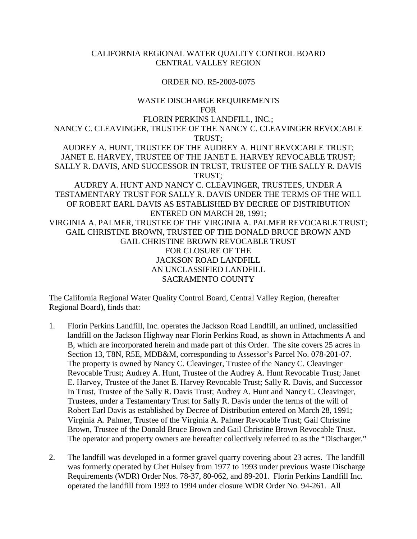## CALIFORNIA REGIONAL WATER QUALITY CONTROL BOARD CENTRAL VALLEY REGION

### ORDER NO. R5-2003-0075

## WASTE DISCHARGE REQUIREMENTS FOR FLORIN PERKINS LANDFILL, INC.; NANCY C. CLEAVINGER, TRUSTEE OF THE NANCY C. CLEAVINGER REVOCABLE TRUST; AUDREY A. HUNT, TRUSTEE OF THE AUDREY A. HUNT REVOCABLE TRUST; JANET E. HARVEY, TRUSTEE OF THE JANET E. HARVEY REVOCABLE TRUST; SALLY R. DAVIS, AND SUCCESSOR IN TRUST, TRUSTEE OF THE SALLY R. DAVIS TRUST; AUDREY A. HUNT AND NANCY C. CLEAVINGER, TRUSTEES, UNDER A TESTAMENTARY TRUST FOR SALLY R. DAVIS UNDER THE TERMS OF THE WILL OF ROBERT EARL DAVIS AS ESTABLISHED BY DECREE OF DISTRIBUTION ENTERED ON MARCH 28, 1991; VIRGINIA A. PALMER, TRUSTEE OF THE VIRGINIA A. PALMER REVOCABLE TRUST; GAIL CHRISTINE BROWN, TRUSTEE OF THE DONALD BRUCE BROWN AND GAIL CHRISTINE BROWN REVOCABLE TRUST FOR CLOSURE OF THE JACKSON ROAD LANDFILL AN UNCLASSIFIED LANDFILL SACRAMENTO COUNTY

The California Regional Water Quality Control Board, Central Valley Region, (hereafter Regional Board), finds that:

- 1. Florin Perkins Landfill, Inc. operates the Jackson Road Landfill, an unlined, unclassified landfill on the Jackson Highway near Florin Perkins Road, as shown in Attachments A and B, which are incorporated herein and made part of this Order. The site covers 25 acres in Section 13, T8N, R5E, MDB&M, corresponding to Assessor's Parcel No. 078-201-07. The property is owned by Nancy C. Cleavinger, Trustee of the Nancy C. Cleavinger Revocable Trust; Audrey A. Hunt, Trustee of the Audrey A. Hunt Revocable Trust; Janet E. Harvey, Trustee of the Janet E. Harvey Revocable Trust; Sally R. Davis, and Successor In Trust, Trustee of the Sally R. Davis Trust; Audrey A. Hunt and Nancy C. Cleavinger, Trustees, under a Testamentary Trust for Sally R. Davis under the terms of the will of Robert Earl Davis as established by Decree of Distribution entered on March 28, 1991; Virginia A. Palmer, Trustee of the Virginia A. Palmer Revocable Trust; Gail Christine Brown, Trustee of the Donald Bruce Brown and Gail Christine Brown Revocable Trust. The operator and property owners are hereafter collectively referred to as the "Discharger."
- 2. The landfill was developed in a former gravel quarry covering about 23 acres. The landfill was formerly operated by Chet Hulsey from 1977 to 1993 under previous Waste Discharge Requirements (WDR) Order Nos. 78-37, 80-062, and 89-201. Florin Perkins Landfill Inc. operated the landfill from 1993 to 1994 under closure WDR Order No. 94-261. All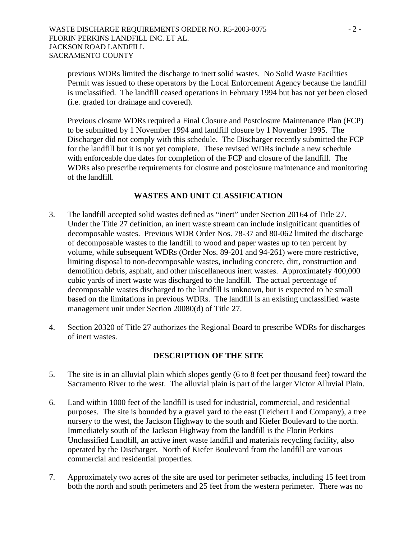previous WDRs limited the discharge to inert solid wastes. No Solid Waste Facilities Permit was issued to these operators by the Local Enforcement Agency because the landfill is unclassified. The landfill ceased operations in February 1994 but has not yet been closed (i.e. graded for drainage and covered).

Previous closure WDRs required a Final Closure and Postclosure Maintenance Plan (FCP) to be submitted by 1 November 1994 and landfill closure by 1 November 1995. The Discharger did not comply with this schedule. The Discharger recently submitted the FCP for the landfill but it is not yet complete. These revised WDRs include a new schedule with enforceable due dates for completion of the FCP and closure of the landfill. The WDRs also prescribe requirements for closure and postclosure maintenance and monitoring of the landfill.

### **WASTES AND UNIT CLASSIFICATION**

- 3. The landfill accepted solid wastes defined as "inert" under Section 20164 of Title 27. Under the Title 27 definition, an inert waste stream can include insignificant quantities of decomposable wastes. Previous WDR Order Nos. 78-37 and 80-062 limited the discharge of decomposable wastes to the landfill to wood and paper wastes up to ten percent by volume, while subsequent WDRs (Order Nos. 89-201 and 94-261) were more restrictive, limiting disposal to non-decomposable wastes, including concrete, dirt, construction and demolition debris, asphalt, and other miscellaneous inert wastes. Approximately 400,000 cubic yards of inert waste was discharged to the landfill. The actual percentage of decomposable wastes discharged to the landfill is unknown, but is expected to be small based on the limitations in previous WDRs. The landfill is an existing unclassified waste management unit under Section 20080(d) of Title 27.
- 4. Section 20320 of Title 27 authorizes the Regional Board to prescribe WDRs for discharges of inert wastes.

### **DESCRIPTION OF THE SITE**

- 5. The site is in an alluvial plain which slopes gently (6 to 8 feet per thousand feet) toward the Sacramento River to the west. The alluvial plain is part of the larger Victor Alluvial Plain.
- 6. Land within 1000 feet of the landfill is used for industrial, commercial, and residential purposes. The site is bounded by a gravel yard to the east (Teichert Land Company), a tree nursery to the west, the Jackson Highway to the south and Kiefer Boulevard to the north. Immediately south of the Jackson Highway from the landfill is the Florin Perkins Unclassified Landfill, an active inert waste landfill and materials recycling facility, also operated by the Discharger. North of Kiefer Boulevard from the landfill are various commercial and residential properties.
- 7. Approximately two acres of the site are used for perimeter setbacks, including 15 feet from both the north and south perimeters and 25 feet from the western perimeter. There was no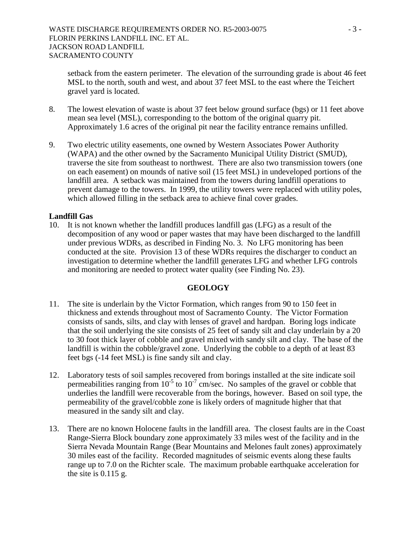setback from the eastern perimeter. The elevation of the surrounding grade is about 46 feet MSL to the north, south and west, and about 37 feet MSL to the east where the Teichert gravel yard is located.

- 8. The lowest elevation of waste is about 37 feet below ground surface (bgs) or 11 feet above mean sea level (MSL), corresponding to the bottom of the original quarry pit. Approximately 1.6 acres of the original pit near the facility entrance remains unfilled.
- 9. Two electric utility easements, one owned by Western Associates Power Authority (WAPA) and the other owned by the Sacramento Municipal Utility District (SMUD), traverse the site from southeast to northwest. There are also two transmission towers (one on each easement) on mounds of native soil (15 feet MSL) in undeveloped portions of the landfill area. A setback was maintained from the towers during landfill operations to prevent damage to the towers. In 1999, the utility towers were replaced with utility poles, which allowed filling in the setback area to achieve final cover grades.

### **Landfill Gas**

10. It is not known whether the landfill produces landfill gas (LFG) as a result of the decomposition of any wood or paper wastes that may have been discharged to the landfill under previous WDRs, as described in Finding No. 3. No LFG monitoring has been conducted at the site. Provision 13 of these WDRs requires the discharger to conduct an investigation to determine whether the landfill generates LFG and whether LFG controls and monitoring are needed to protect water quality (see Finding No. 23).

#### **GEOLOGY**

- 11. The site is underlain by the Victor Formation, which ranges from 90 to 150 feet in thickness and extends throughout most of Sacramento County. The Victor Formation consists of sands, silts, and clay with lenses of gravel and hardpan. Boring logs indicate that the soil underlying the site consists of 25 feet of sandy silt and clay underlain by a 20 to 30 foot thick layer of cobble and gravel mixed with sandy silt and clay. The base of the landfill is within the cobble/gravel zone. Underlying the cobble to a depth of at least 83 feet bgs (-14 feet MSL) is fine sandy silt and clay.
- 12. Laboratory tests of soil samples recovered from borings installed at the site indicate soil permeabilities ranging from  $10^{-5}$  to  $10^{-7}$  cm/sec. No samples of the gravel or cobble that underlies the landfill were recoverable from the borings, however. Based on soil type, the permeability of the gravel/cobble zone is likely orders of magnitude higher that that measured in the sandy silt and clay.
- 13. There are no known Holocene faults in the landfill area. The closest faults are in the Coast Range-Sierra Block boundary zone approximately 33 miles west of the facility and in the Sierra Nevada Mountain Range (Bear Mountains and Melones fault zones) approximately 30 miles east of the facility. Recorded magnitudes of seismic events along these faults range up to 7.0 on the Richter scale. The maximum probable earthquake acceleration for the site is 0.115 g.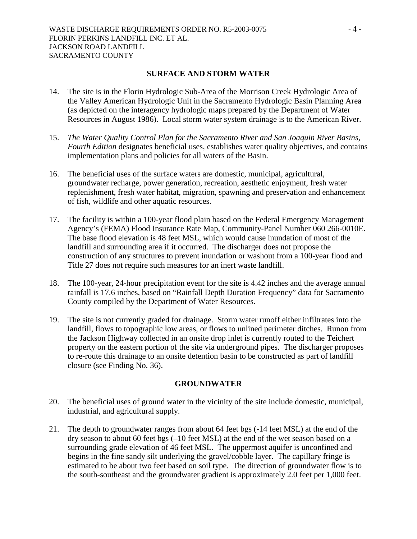#### **SURFACE AND STORM WATER**

- 14. The site is in the Florin Hydrologic Sub-Area of the Morrison Creek Hydrologic Area of the Valley American Hydrologic Unit in the Sacramento Hydrologic Basin Planning Area (as depicted on the interagency hydrologic maps prepared by the Department of Water Resources in August 1986). Local storm water system drainage is to the American River.
- 15. *The Water Quality Control Plan for the Sacramento River and San Joaquin River Basins, Fourth Edition* designates beneficial uses, establishes water quality objectives, and contains implementation plans and policies for all waters of the Basin.
- 16. The beneficial uses of the surface waters are domestic, municipal, agricultural, groundwater recharge, power generation, recreation, aesthetic enjoyment, fresh water replenishment, fresh water habitat, migration, spawning and preservation and enhancement of fish, wildlife and other aquatic resources.
- 17. The facility is within a 100-year flood plain based on the Federal Emergency Management Agency's (FEMA) Flood Insurance Rate Map, Community-Panel Number 060 266-0010E. The base flood elevation is 48 feet MSL, which would cause inundation of most of the landfill and surrounding area if it occurred. The discharger does not propose the construction of any structures to prevent inundation or washout from a 100-year flood and Title 27 does not require such measures for an inert waste landfill.
- 18. The 100-year, 24-hour precipitation event for the site is 4.42 inches and the average annual rainfall is 17.6 inches, based on "Rainfall Depth Duration Frequency" data for Sacramento County compiled by the Department of Water Resources.
- 19. The site is not currently graded for drainage. Storm water runoff either infiltrates into the landfill, flows to topographic low areas, or flows to unlined perimeter ditches. Runon from the Jackson Highway collected in an onsite drop inlet is currently routed to the Teichert property on the eastern portion of the site via underground pipes. The discharger proposes to re-route this drainage to an onsite detention basin to be constructed as part of landfill closure (see Finding No. 36).

#### **GROUNDWATER**

- 20. The beneficial uses of ground water in the vicinity of the site include domestic, municipal, industrial, and agricultural supply.
- 21. The depth to groundwater ranges from about 64 feet bgs (-14 feet MSL) at the end of the dry season to about 60 feet bgs (–10 feet MSL) at the end of the wet season based on a surrounding grade elevation of 46 feet MSL. The uppermost aquifer is unconfined and begins in the fine sandy silt underlying the gravel/cobble layer. The capillary fringe is estimated to be about two feet based on soil type. The direction of groundwater flow is to the south-southeast and the groundwater gradient is approximately 2.0 feet per 1,000 feet.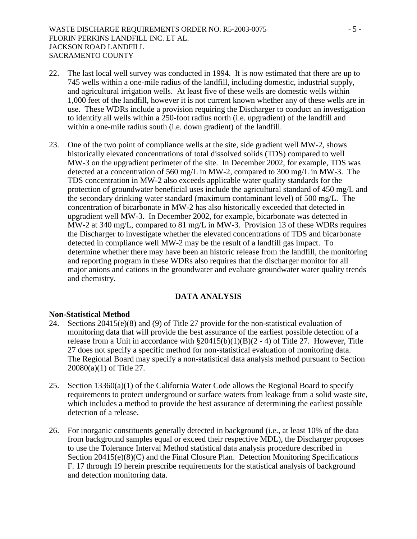- 22. The last local well survey was conducted in 1994. It is now estimated that there are up to 745 wells within a one-mile radius of the landfill, including domestic, industrial supply, and agricultural irrigation wells. At least five of these wells are domestic wells within 1,000 feet of the landfill, however it is not current known whether any of these wells are in use. These WDRs include a provision requiring the Discharger to conduct an investigation to identify all wells within a 250-foot radius north (i.e. upgradient) of the landfill and within a one-mile radius south (i.e. down gradient) of the landfill.
- 23. One of the two point of compliance wells at the site, side gradient well MW-2, shows historically elevated concentrations of total dissolved solids (TDS) compared to well MW-3 on the upgradient perimeter of the site. In December 2002, for example, TDS was detected at a concentration of 560 mg/L in MW-2, compared to 300 mg/L in MW-3. The TDS concentration in MW-2 also exceeds applicable water quality standards for the protection of groundwater beneficial uses include the agricultural standard of 450 mg/L and the secondary drinking water standard (maximum contaminant level) of 500 mg/L. The concentration of bicarbonate in MW-2 has also historically exceeded that detected in upgradient well MW-3. In December 2002, for example, bicarbonate was detected in MW-2 at 340 mg/L, compared to 81 mg/L in MW-3. Provision 13 of these WDRs requires the Discharger to investigate whether the elevated concentrations of TDS and bicarbonate detected in compliance well MW-2 may be the result of a landfill gas impact. To determine whether there may have been an historic release from the landfill, the monitoring and reporting program in these WDRs also requires that the discharger monitor for all major anions and cations in the groundwater and evaluate groundwater water quality trends and chemistry.

### **DATA ANALYSIS**

#### **Non-Statistical Method**

- 24. Sections 20415(e)(8) and (9) of Title 27 provide for the non-statistical evaluation of monitoring data that will provide the best assurance of the earliest possible detection of a release from a Unit in accordance with  $\S20415(b)(1)(B)(2 - 4)$  of Title 27. However, Title 27 does not specify a specific method for non-statistical evaluation of monitoring data. The Regional Board may specify a non-statistical data analysis method pursuant to Section 20080(a)(1) of Title 27.
- 25. Section  $13360(a)(1)$  of the California Water Code allows the Regional Board to specify requirements to protect underground or surface waters from leakage from a solid waste site, which includes a method to provide the best assurance of determining the earliest possible detection of a release.
- 26. For inorganic constituents generally detected in background (i.e., at least 10% of the data from background samples equal or exceed their respective MDL), the Discharger proposes to use the Tolerance Interval Method statistical data analysis procedure described in Section 20415(e)(8)(C) and the Final Closure Plan. Detection Monitoring Specifications F. 17 through 19 herein prescribe requirements for the statistical analysis of background and detection monitoring data.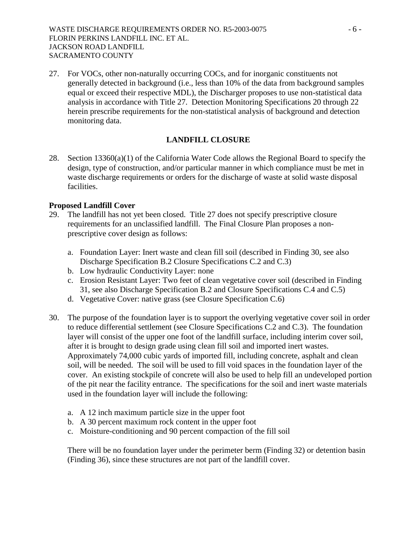27. For VOCs, other non-naturally occurring COCs, and for inorganic constituents not generally detected in background (i.e., less than 10% of the data from background samples equal or exceed their respective MDL), the Discharger proposes to use non-statistical data analysis in accordance with Title 27. Detection Monitoring Specifications 20 through 22 herein prescribe requirements for the non-statistical analysis of background and detection monitoring data.

## **LANDFILL CLOSURE**

28. Section 13360(a)(1) of the California Water Code allows the Regional Board to specify the design, type of construction, and/or particular manner in which compliance must be met in waste discharge requirements or orders for the discharge of waste at solid waste disposal facilities.

### **Proposed Landfill Cover**

- 29. The landfill has not yet been closed. Title 27 does not specify prescriptive closure requirements for an unclassified landfill. The Final Closure Plan proposes a nonprescriptive cover design as follows:
	- a. Foundation Layer: Inert waste and clean fill soil (described in Finding 30, see also Discharge Specification B.2 Closure Specifications C.2 and C.3)
	- b. Low hydraulic Conductivity Layer: none
	- c. Erosion Resistant Layer: Two feet of clean vegetative cover soil (described in Finding 31, see also Discharge Specification B.2 and Closure Specifications C.4 and C.5)
	- d. Vegetative Cover: native grass (see Closure Specification C.6)
- 30. The purpose of the foundation layer is to support the overlying vegetative cover soil in order to reduce differential settlement (see Closure Specifications C.2 and C.3). The foundation layer will consist of the upper one foot of the landfill surface, including interim cover soil, after it is brought to design grade using clean fill soil and imported inert wastes. Approximately 74,000 cubic yards of imported fill, including concrete, asphalt and clean soil, will be needed. The soil will be used to fill void spaces in the foundation layer of the cover. An existing stockpile of concrete will also be used to help fill an undeveloped portion of the pit near the facility entrance. The specifications for the soil and inert waste materials used in the foundation layer will include the following:
	- a. A 12 inch maximum particle size in the upper foot
	- b. A 30 percent maximum rock content in the upper foot
	- c. Moisture-conditioning and 90 percent compaction of the fill soil

There will be no foundation layer under the perimeter berm (Finding 32) or detention basin (Finding 36), since these structures are not part of the landfill cover.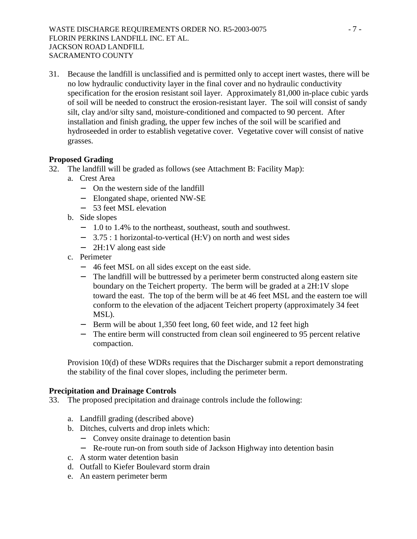31. Because the landfill is unclassified and is permitted only to accept inert wastes, there will be no low hydraulic conductivity layer in the final cover and no hydraulic conductivity specification for the erosion resistant soil layer. Approximately 81,000 in-place cubic yards of soil will be needed to construct the erosion-resistant layer. The soil will consist of sandy silt, clay and/or silty sand, moisture-conditioned and compacted to 90 percent. After installation and finish grading, the upper few inches of the soil will be scarified and hydroseeded in order to establish vegetative cover. Vegetative cover will consist of native grasses.

## **Proposed Grading**

- 32. The landfill will be graded as follows (see Attachment B: Facility Map):
	- a. Crest Area
		- − On the western side of the landfill
		- − Elongated shape, oriented NW-SE
		- − 53 feet MSL elevation
	- b. Side slopes
		- − 1.0 to 1.4% to the northeast, southeast, south and southwest.
		- − 3.75 : 1 horizontal-to-vertical (H:V) on north and west sides
		- − 2H:1V along east side
	- c. Perimeter
		- − 46 feet MSL on all sides except on the east side.
		- − The landfill will be buttressed by a perimeter berm constructed along eastern site boundary on the Teichert property. The berm will be graded at a 2H:1V slope toward the east. The top of the berm will be at 46 feet MSL and the eastern toe will conform to the elevation of the adjacent Teichert property (approximately 34 feet MSL).
		- − Berm will be about 1,350 feet long, 60 feet wide, and 12 feet high
		- The entire berm will constructed from clean soil engineered to 95 percent relative compaction.

Provision 10(d) of these WDRs requires that the Discharger submit a report demonstrating the stability of the final cover slopes, including the perimeter berm.

## **Precipitation and Drainage Controls**

- 33. The proposed precipitation and drainage controls include the following:
	- a. Landfill grading (described above)
	- b. Ditches, culverts and drop inlets which:
		- − Convey onsite drainage to detention basin
		- − Re-route run-on from south side of Jackson Highway into detention basin
	- c. A storm water detention basin
	- d. Outfall to Kiefer Boulevard storm drain
	- e. An eastern perimeter berm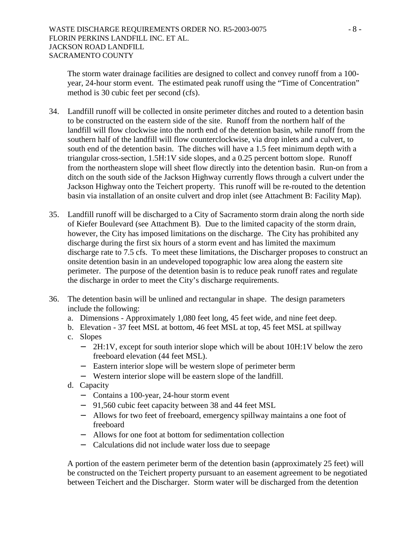The storm water drainage facilities are designed to collect and convey runoff from a 100 year, 24-hour storm event. The estimated peak runoff using the "Time of Concentration" method is 30 cubic feet per second (cfs).

- 34. Landfill runoff will be collected in onsite perimeter ditches and routed to a detention basin to be constructed on the eastern side of the site. Runoff from the northern half of the landfill will flow clockwise into the north end of the detention basin, while runoff from the southern half of the landfill will flow counterclockwise, via drop inlets and a culvert, to south end of the detention basin. The ditches will have a 1.5 feet minimum depth with a triangular cross-section, 1.5H:1V side slopes, and a 0.25 percent bottom slope. Runoff from the northeastern slope will sheet flow directly into the detention basin. Run-on from a ditch on the south side of the Jackson Highway currently flows through a culvert under the Jackson Highway onto the Teichert property. This runoff will be re-routed to the detention basin via installation of an onsite culvert and drop inlet (see Attachment B: Facility Map).
- 35. Landfill runoff will be discharged to a City of Sacramento storm drain along the north side of Kiefer Boulevard (see Attachment B). Due to the limited capacity of the storm drain, however, the City has imposed limitations on the discharge. The City has prohibited any discharge during the first six hours of a storm event and has limited the maximum discharge rate to 7.5 cfs. To meet these limitations, the Discharger proposes to construct an onsite detention basin in an undeveloped topographic low area along the eastern site perimeter. The purpose of the detention basin is to reduce peak runoff rates and regulate the discharge in order to meet the City's discharge requirements.
- 36. The detention basin will be unlined and rectangular in shape. The design parameters include the following:
	- a. Dimensions Approximately 1,080 feet long, 45 feet wide, and nine feet deep.
	- b. Elevation 37 feet MSL at bottom, 46 feet MSL at top, 45 feet MSL at spillway
	- c. Slopes
		- − 2H:1V, except for south interior slope which will be about 10H:1V below the zero freeboard elevation (44 feet MSL).
		- − Eastern interior slope will be western slope of perimeter berm
		- − Western interior slope will be eastern slope of the landfill.
	- d. Capacity
		- − Contains a 100-year, 24-hour storm event
		- − 91,560 cubic feet capacity between 38 and 44 feet MSL
		- − Allows for two feet of freeboard, emergency spillway maintains a one foot of freeboard
		- − Allows for one foot at bottom for sedimentation collection
		- − Calculations did not include water loss due to seepage

A portion of the eastern perimeter berm of the detention basin (approximately 25 feet) will be constructed on the Teichert property pursuant to an easement agreement to be negotiated between Teichert and the Discharger. Storm water will be discharged from the detention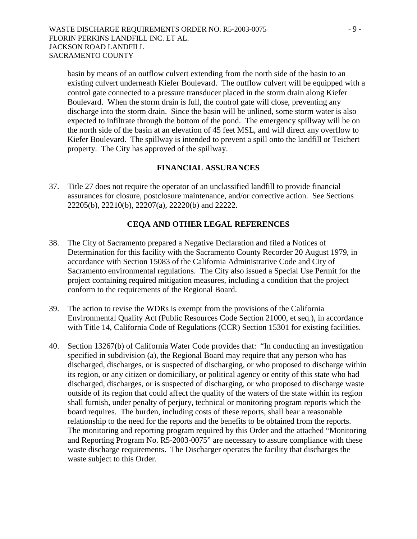basin by means of an outflow culvert extending from the north side of the basin to an existing culvert underneath Kiefer Boulevard. The outflow culvert will be equipped with a control gate connected to a pressure transducer placed in the storm drain along Kiefer Boulevard. When the storm drain is full, the control gate will close, preventing any discharge into the storm drain. Since the basin will be unlined, some storm water is also expected to infiltrate through the bottom of the pond. The emergency spillway will be on the north side of the basin at an elevation of 45 feet MSL, and will direct any overflow to Kiefer Boulevard. The spillway is intended to prevent a spill onto the landfill or Teichert property. The City has approved of the spillway.

### **FINANCIAL ASSURANCES**

37. Title 27 does not require the operator of an unclassified landfill to provide financial assurances for closure, postclosure maintenance, and/or corrective action. See Sections 22205(b), 22210(b), 22207(a), 22220(b) and 22222.

### **CEQA AND OTHER LEGAL REFERENCES**

- 38. The City of Sacramento prepared a Negative Declaration and filed a Notices of Determination for this facility with the Sacramento County Recorder 20 August 1979, in accordance with Section 15083 of the California Administrative Code and City of Sacramento environmental regulations. The City also issued a Special Use Permit for the project containing required mitigation measures, including a condition that the project conform to the requirements of the Regional Board.
- 39. The action to revise the WDRs is exempt from the provisions of the California Environmental Quality Act (Public Resources Code Section 21000, et seq.), in accordance with Title 14, California Code of Regulations (CCR) Section 15301 for existing facilities.
- 40. Section 13267(b) of California Water Code provides that: "In conducting an investigation specified in subdivision (a), the Regional Board may require that any person who has discharged, discharges, or is suspected of discharging, or who proposed to discharge within its region, or any citizen or domiciliary, or political agency or entity of this state who had discharged, discharges, or is suspected of discharging, or who proposed to discharge waste outside of its region that could affect the quality of the waters of the state within its region shall furnish, under penalty of perjury, technical or monitoring program reports which the board requires. The burden, including costs of these reports, shall bear a reasonable relationship to the need for the reports and the benefits to be obtained from the reports. The monitoring and reporting program required by this Order and the attached "Monitoring and Reporting Program No. R5-2003-0075" are necessary to assure compliance with these waste discharge requirements. The Discharger operates the facility that discharges the waste subject to this Order.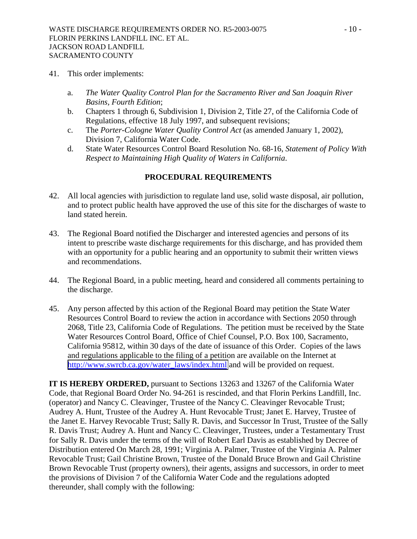- 41. This order implements:
	- a. *The Water Quality Control Plan for the Sacramento River and San Joaquin River Basins, Fourth Edition*;
	- b. Chapters 1 through 6, Subdivision 1, Division 2, Title 27, of the California Code of Regulations, effective 18 July 1997, and subsequent revisions;
	- c. The *Porter-Cologne Water Quality Control Act* (as amended January 1, 2002), Division 7, California Water Code.
	- d. State Water Resources Control Board Resolution No. 68-16, *Statement of Policy With Respect to Maintaining High Quality of Waters in California*.

## **PROCEDURAL REQUIREMENTS**

- 42. All local agencies with jurisdiction to regulate land use, solid waste disposal, air pollution, and to protect public health have approved the use of this site for the discharges of waste to land stated herein.
- 43. The Regional Board notified the Discharger and interested agencies and persons of its intent to prescribe waste discharge requirements for this discharge, and has provided them with an opportunity for a public hearing and an opportunity to submit their written views and recommendations.
- 44. The Regional Board, in a public meeting, heard and considered all comments pertaining to the discharge.
- 45. Any person affected by this action of the Regional Board may petition the State Water Resources Control Board to review the action in accordance with Sections 2050 through 2068, Title 23, California Code of Regulations. The petition must be received by the State Water Resources Control Board, Office of Chief Counsel, P.O. Box 100, Sacramento, California 95812, within 30 days of the date of issuance of this Order. Copies of the laws and regulations applicable to the filing of a petition are available on the Internet at [http://www.swrcb.ca.gov/water\\_laws/index.html](http://www.swrcb.ca.gov/water_laws/index.html) and will be provided on request.

**IT IS HEREBY ORDERED,** pursuant to Sections 13263 and 13267 of the California Water Code, that Regional Board Order No. 94-261 is rescinded, and that Florin Perkins Landfill, Inc. (operator) and Nancy C. Cleavinger, Trustee of the Nancy C. Cleavinger Revocable Trust; Audrey A. Hunt, Trustee of the Audrey A. Hunt Revocable Trust; Janet E. Harvey, Trustee of the Janet E. Harvey Revocable Trust; Sally R. Davis, and Successor In Trust, Trustee of the Sally R. Davis Trust; Audrey A. Hunt and Nancy C. Cleavinger, Trustees, under a Testamentary Trust for Sally R. Davis under the terms of the will of Robert Earl Davis as established by Decree of Distribution entered On March 28, 1991; Virginia A. Palmer, Trustee of the Virginia A. Palmer Revocable Trust; Gail Christine Brown, Trustee of the Donald Bruce Brown and Gail Christine Brown Revocable Trust (property owners), their agents, assigns and successors, in order to meet the provisions of Division 7 of the California Water Code and the regulations adopted thereunder, shall comply with the following: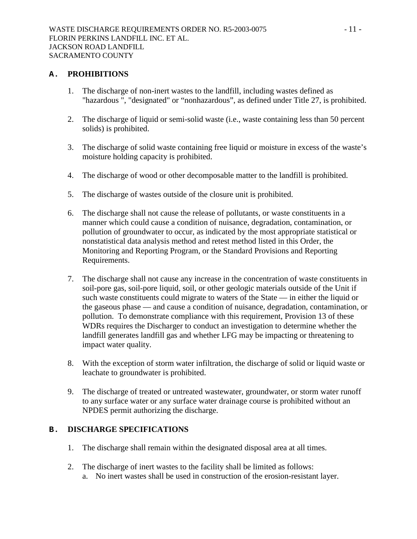### **A. PROHIBITIONS**

- 1. The discharge of non-inert wastes to the landfill, including wastes defined as "hazardous ", "designated" or "nonhazardous", as defined under Title 27, is prohibited.
- 2. The discharge of liquid or semi-solid waste (i.e., waste containing less than 50 percent solids) is prohibited.
- 3. The discharge of solid waste containing free liquid or moisture in excess of the waste's moisture holding capacity is prohibited.
- 4. The discharge of wood or other decomposable matter to the landfill is prohibited.
- 5. The discharge of wastes outside of the closure unit is prohibited.
- 6. The discharge shall not cause the release of pollutants, or waste constituents in a manner which could cause a condition of nuisance, degradation, contamination, or pollution of groundwater to occur, as indicated by the most appropriate statistical or nonstatistical data analysis method and retest method listed in this Order, the Monitoring and Reporting Program, or the Standard Provisions and Reporting Requirements.
- 7. The discharge shall not cause any increase in the concentration of waste constituents in soil-pore gas, soil-pore liquid, soil, or other geologic materials outside of the Unit if such waste constituents could migrate to waters of the State — in either the liquid or the gaseous phase — and cause a condition of nuisance, degradation, contamination, or pollution. To demonstrate compliance with this requirement, Provision 13 of these WDRs requires the Discharger to conduct an investigation to determine whether the landfill generates landfill gas and whether LFG may be impacting or threatening to impact water quality.
- 8. With the exception of storm water infiltration, the discharge of solid or liquid waste or leachate to groundwater is prohibited.
- 9. The discharge of treated or untreated wastewater, groundwater, or storm water runoff to any surface water or any surface water drainage course is prohibited without an NPDES permit authorizing the discharge.

### **B. DISCHARGE SPECIFICATIONS**

- 1. The discharge shall remain within the designated disposal area at all times.
- 2. The discharge of inert wastes to the facility shall be limited as follows: a. No inert wastes shall be used in construction of the erosion-resistant layer.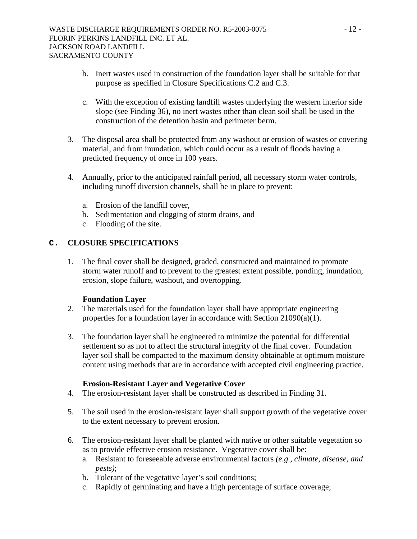- b. Inert wastes used in construction of the foundation layer shall be suitable for that purpose as specified in Closure Specifications C.2 and C.3.
- c. With the exception of existing landfill wastes underlying the western interior side slope (see Finding 36), no inert wastes other than clean soil shall be used in the construction of the detention basin and perimeter berm.
- 3. The disposal area shall be protected from any washout or erosion of wastes or covering material, and from inundation, which could occur as a result of floods having a predicted frequency of once in 100 years.
- 4. Annually, prior to the anticipated rainfall period, all necessary storm water controls, including runoff diversion channels, shall be in place to prevent:
	- a. Erosion of the landfill cover,
	- b. Sedimentation and clogging of storm drains, and
	- c. Flooding of the site.

## **C. CLOSURE SPECIFICATIONS**

1. The final cover shall be designed, graded, constructed and maintained to promote storm water runoff and to prevent to the greatest extent possible, ponding, inundation, erosion, slope failure, washout, and overtopping.

## **Foundation Layer**

- 2. The materials used for the foundation layer shall have appropriate engineering properties for a foundation layer in accordance with Section 21090(a)(1).
- 3. The foundation layer shall be engineered to minimize the potential for differential settlement so as not to affect the structural integrity of the final cover. Foundation layer soil shall be compacted to the maximum density obtainable at optimum moisture content using methods that are in accordance with accepted civil engineering practice.

### **Erosion-Resistant Layer and Vegetative Cover**

- 4. The erosion-resistant layer shall be constructed as described in Finding 31.
- 5. The soil used in the erosion-resistant layer shall support growth of the vegetative cover to the extent necessary to prevent erosion.
- 6. The erosion-resistant layer shall be planted with native or other suitable vegetation so as to provide effective erosion resistance. Vegetative cover shall be:
	- a. Resistant to foreseeable adverse environmental factors *(e.g., climate, disease, and pests)*;
	- b. Tolerant of the vegetative layer's soil conditions;
	- c. Rapidly of germinating and have a high percentage of surface coverage;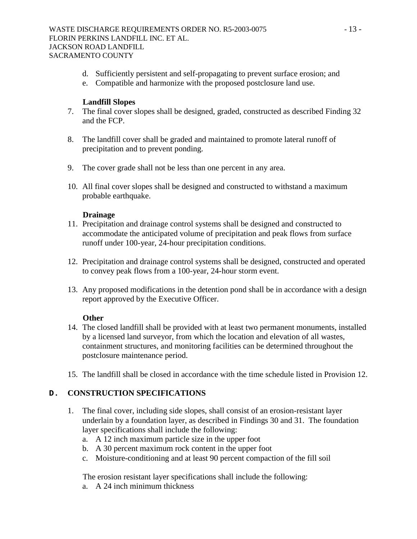- d. Sufficiently persistent and self-propagating to prevent surface erosion; and
- e. Compatible and harmonize with the proposed postclosure land use.

#### **Landfill Slopes**

- 7. The final cover slopes shall be designed, graded, constructed as described Finding 32 and the FCP.
- 8. The landfill cover shall be graded and maintained to promote lateral runoff of precipitation and to prevent ponding.
- 9. The cover grade shall not be less than one percent in any area.
- 10. All final cover slopes shall be designed and constructed to withstand a maximum probable earthquake.

#### **Drainage**

- 11. Precipitation and drainage control systems shall be designed and constructed to accommodate the anticipated volume of precipitation and peak flows from surface runoff under 100-year, 24-hour precipitation conditions.
- 12. Precipitation and drainage control systems shall be designed, constructed and operated to convey peak flows from a 100-year, 24-hour storm event.
- 13. Any proposed modifications in the detention pond shall be in accordance with a design report approved by the Executive Officer.

#### **Other**

- 14. The closed landfill shall be provided with at least two permanent monuments, installed by a licensed land surveyor, from which the location and elevation of all wastes, containment structures, and monitoring facilities can be determined throughout the postclosure maintenance period.
- 15. The landfill shall be closed in accordance with the time schedule listed in Provision 12.

## **D. CONSTRUCTION SPECIFICATIONS**

- 1. The final cover, including side slopes, shall consist of an erosion-resistant layer underlain by a foundation layer, as described in Findings 30 and 31. The foundation layer specifications shall include the following:
	- a. A 12 inch maximum particle size in the upper foot
	- b. A 30 percent maximum rock content in the upper foot
	- c. Moisture-conditioning and at least 90 percent compaction of the fill soil

The erosion resistant layer specifications shall include the following:

a. A 24 inch minimum thickness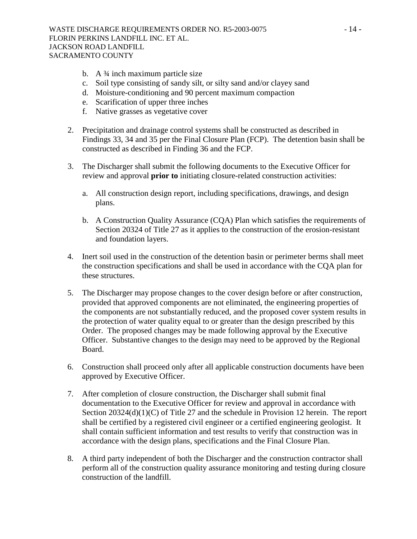- b. A ¾ inch maximum particle size
- c. Soil type consisting of sandy silt, or silty sand and/or clayey sand
- d. Moisture-conditioning and 90 percent maximum compaction
- e. Scarification of upper three inches
- f. Native grasses as vegetative cover
- 2. Precipitation and drainage control systems shall be constructed as described in Findings 33, 34 and 35 per the Final Closure Plan (FCP). The detention basin shall be constructed as described in Finding 36 and the FCP.
- 3. The Discharger shall submit the following documents to the Executive Officer for review and approval **prior to** initiating closure-related construction activities:
	- a. All construction design report, including specifications, drawings, and design plans.
	- b. A Construction Quality Assurance (CQA) Plan which satisfies the requirements of Section 20324 of Title 27 as it applies to the construction of the erosion-resistant and foundation layers.
- 4. Inert soil used in the construction of the detention basin or perimeter berms shall meet the construction specifications and shall be used in accordance with the CQA plan for these structures.
- 5. The Discharger may propose changes to the cover design before or after construction, provided that approved components are not eliminated, the engineering properties of the components are not substantially reduced, and the proposed cover system results in the protection of water quality equal to or greater than the design prescribed by this Order. The proposed changes may be made following approval by the Executive Officer. Substantive changes to the design may need to be approved by the Regional Board.
- 6. Construction shall proceed only after all applicable construction documents have been approved by Executive Officer.
- 7. After completion of closure construction, the Discharger shall submit final documentation to the Executive Officer for review and approval in accordance with Section 20324(d)(1)(C) of Title 27 and the schedule in Provision 12 herein. The report shall be certified by a registered civil engineer or a certified engineering geologist. It shall contain sufficient information and test results to verify that construction was in accordance with the design plans, specifications and the Final Closure Plan.
- 8. A third party independent of both the Discharger and the construction contractor shall perform all of the construction quality assurance monitoring and testing during closure construction of the landfill.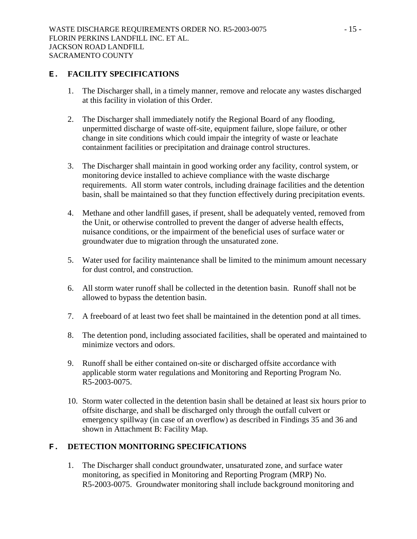### **E. FACILITY SPECIFICATIONS**

- 1. The Discharger shall, in a timely manner, remove and relocate any wastes discharged at this facility in violation of this Order.
- 2. The Discharger shall immediately notify the Regional Board of any flooding, unpermitted discharge of waste off-site, equipment failure, slope failure, or other change in site conditions which could impair the integrity of waste or leachate containment facilities or precipitation and drainage control structures.
- 3. The Discharger shall maintain in good working order any facility, control system, or monitoring device installed to achieve compliance with the waste discharge requirements. All storm water controls, including drainage facilities and the detention basin, shall be maintained so that they function effectively during precipitation events.
- 4. Methane and other landfill gases, if present, shall be adequately vented, removed from the Unit, or otherwise controlled to prevent the danger of adverse health effects, nuisance conditions, or the impairment of the beneficial uses of surface water or groundwater due to migration through the unsaturated zone.
- 5. Water used for facility maintenance shall be limited to the minimum amount necessary for dust control, and construction.
- 6. All storm water runoff shall be collected in the detention basin. Runoff shall not be allowed to bypass the detention basin.
- 7. A freeboard of at least two feet shall be maintained in the detention pond at all times.
- 8. The detention pond, including associated facilities, shall be operated and maintained to minimize vectors and odors.
- 9. Runoff shall be either contained on-site or discharged offsite accordance with applicable storm water regulations and Monitoring and Reporting Program No. R5-2003-0075.
- 10. Storm water collected in the detention basin shall be detained at least six hours prior to offsite discharge, and shall be discharged only through the outfall culvert or emergency spillway (in case of an overflow) as described in Findings 35 and 36 and shown in Attachment B: Facility Map.

## **F. DETECTION MONITORING SPECIFICATIONS**

1. The Discharger shall conduct groundwater, unsaturated zone, and surface water monitoring, as specified in Monitoring and Reporting Program (MRP) No. R5-2003-0075. Groundwater monitoring shall include background monitoring and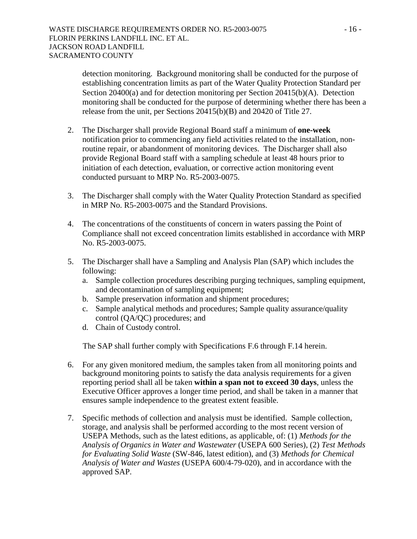detection monitoring. Background monitoring shall be conducted for the purpose of establishing concentration limits as part of the Water Quality Protection Standard per Section 20400(a) and for detection monitoring per Section 20415(b)(A). Detection monitoring shall be conducted for the purpose of determining whether there has been a release from the unit, per Sections 20415(b)(B) and 20420 of Title 27.

- 2. The Discharger shall provide Regional Board staff a minimum of **one-week** notification prior to commencing any field activities related to the installation, nonroutine repair, or abandonment of monitoring devices. The Discharger shall also provide Regional Board staff with a sampling schedule at least 48 hours prior to initiation of each detection, evaluation, or corrective action monitoring event conducted pursuant to MRP No. R5-2003-0075.
- 3. The Discharger shall comply with the Water Quality Protection Standard as specified in MRP No. R5-2003-0075 and the Standard Provisions.
- 4. The concentrations of the constituents of concern in waters passing the Point of Compliance shall not exceed concentration limits established in accordance with MRP No. R5-2003-0075.
- 5. The Discharger shall have a Sampling and Analysis Plan (SAP) which includes the following:
	- a. Sample collection procedures describing purging techniques, sampling equipment, and decontamination of sampling equipment;
	- b. Sample preservation information and shipment procedures;
	- c. Sample analytical methods and procedures; Sample quality assurance/quality control (QA/QC) procedures; and
	- d. Chain of Custody control.

The SAP shall further comply with Specifications F.6 through F.14 herein.

- 6. For any given monitored medium, the samples taken from all monitoring points and background monitoring points to satisfy the data analysis requirements for a given reporting period shall all be taken **within a span not to exceed 30 days**, unless the Executive Officer approves a longer time period, and shall be taken in a manner that ensures sample independence to the greatest extent feasible.
- 7. Specific methods of collection and analysis must be identified. Sample collection, storage, and analysis shall be performed according to the most recent version of USEPA Methods, such as the latest editions, as applicable, of: (1) *Methods for the Analysis of Organics in Water and Wastewater* (USEPA 600 Series), (2) *Test Methods for Evaluating Solid Waste* (SW-846, latest edition), and (3) *Methods for Chemical Analysis of Water and Wastes* (USEPA 600/4-79-020), and in accordance with the approved SAP.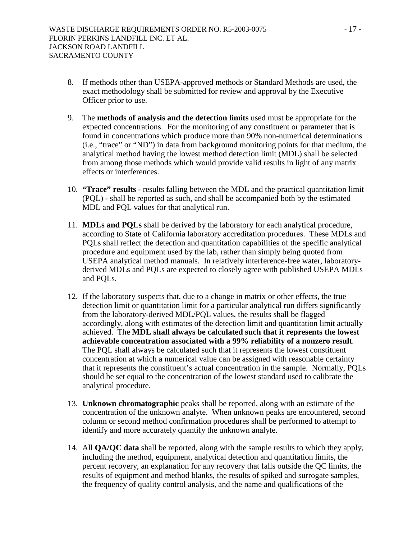- 8. If methods other than USEPA-approved methods or Standard Methods are used, the exact methodology shall be submitted for review and approval by the Executive Officer prior to use.
- 9. The **methods of analysis and the detection limits** used must be appropriate for the expected concentrations. For the monitoring of any constituent or parameter that is found in concentrations which produce more than 90% non-numerical determinations (i.e., "trace" or "ND") in data from background monitoring points for that medium, the analytical method having the lowest method detection limit (MDL) shall be selected from among those methods which would provide valid results in light of any matrix effects or interferences.
- 10. **"Trace" results** results falling between the MDL and the practical quantitation limit (PQL) - shall be reported as such, and shall be accompanied both by the estimated MDL and PQL values for that analytical run.
- 11. **MDLs and PQLs** shall be derived by the laboratory for each analytical procedure, according to State of California laboratory accreditation procedures. These MDLs and PQLs shall reflect the detection and quantitation capabilities of the specific analytical procedure and equipment used by the lab, rather than simply being quoted from USEPA analytical method manuals. In relatively interference-free water, laboratoryderived MDLs and PQLs are expected to closely agree with published USEPA MDLs and PQLs.
- 12. If the laboratory suspects that, due to a change in matrix or other effects, the true detection limit or quantitation limit for a particular analytical run differs significantly from the laboratory-derived MDL/PQL values, the results shall be flagged accordingly, along with estimates of the detection limit and quantitation limit actually achieved. The **MDL shall always be calculated such that it represents the lowest achievable concentration associated with a 99% reliability of a nonzero result**. The PQL shall always be calculated such that it represents the lowest constituent concentration at which a numerical value can be assigned with reasonable certainty that it represents the constituent's actual concentration in the sample. Normally, PQLs should be set equal to the concentration of the lowest standard used to calibrate the analytical procedure.
- 13. **Unknown chromatographic** peaks shall be reported, along with an estimate of the concentration of the unknown analyte. When unknown peaks are encountered, second column or second method confirmation procedures shall be performed to attempt to identify and more accurately quantify the unknown analyte.
- 14. All **QA/QC data** shall be reported, along with the sample results to which they apply, including the method, equipment, analytical detection and quantitation limits, the percent recovery, an explanation for any recovery that falls outside the QC limits, the results of equipment and method blanks, the results of spiked and surrogate samples, the frequency of quality control analysis, and the name and qualifications of the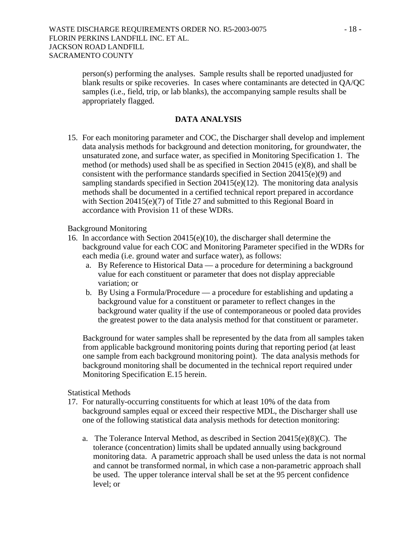person(s) performing the analyses. Sample results shall be reported unadjusted for blank results or spike recoveries. In cases where contaminants are detected in QA/QC samples (i.e., field, trip, or lab blanks), the accompanying sample results shall be appropriately flagged.

### **DATA ANALYSIS**

15. For each monitoring parameter and COC, the Discharger shall develop and implement data analysis methods for background and detection monitoring, for groundwater, the unsaturated zone, and surface water, as specified in Monitoring Specification 1. The method (or methods) used shall be as specified in Section 20415 (e)(8), and shall be consistent with the performance standards specified in Section 20415(e)(9) and sampling standards specified in Section 20415(e)(12). The monitoring data analysis methods shall be documented in a certified technical report prepared in accordance with Section 20415(e)(7) of Title 27 and submitted to this Regional Board in accordance with Provision 11 of these WDRs.

#### Background Monitoring

- 16. In accordance with Section 20415(e)(10), the discharger shall determine the background value for each COC and Monitoring Parameter specified in the WDRs for each media (i.e. ground water and surface water), as follows:
	- a. By Reference to Historical Data a procedure for determining a background value for each constituent or parameter that does not display appreciable variation; or
	- b. By Using a Formula/Procedure a procedure for establishing and updating a background value for a constituent or parameter to reflect changes in the background water quality if the use of contemporaneous or pooled data provides the greatest power to the data analysis method for that constituent or parameter.

Background for water samples shall be represented by the data from all samples taken from applicable background monitoring points during that reporting period (at least one sample from each background monitoring point). The data analysis methods for background monitoring shall be documented in the technical report required under Monitoring Specification E.15 herein.

#### Statistical Methods

- 17. For naturally-occurring constituents for which at least 10% of the data from background samples equal or exceed their respective MDL, the Discharger shall use one of the following statistical data analysis methods for detection monitoring:
	- a. The Tolerance Interval Method, as described in Section 20415(e)(8)(C). The tolerance (concentration) limits shall be updated annually using background monitoring data. A parametric approach shall be used unless the data is not normal and cannot be transformed normal, in which case a non-parametric approach shall be used. The upper tolerance interval shall be set at the 95 percent confidence level; or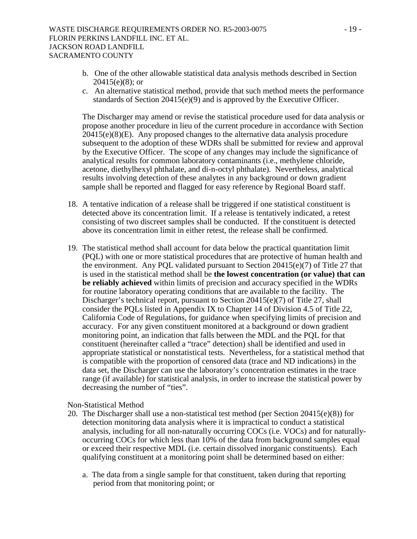- b. One of the other allowable statistical data analysis methods described in Section 20415(e)(8); or
- c. An alternative statistical method, provide that such method meets the performance standards of Section 20415(e)(9) and is approved by the Executive Officer.

The Discharger may amend or revise the statistical procedure used for data analysis or propose another procedure in lieu of the current procedure in accordance with Section 20415(e)(8)(E). Any proposed changes to the alternative data analysis procedure subsequent to the adoption of these WDRs shall be submitted for review and approval by the Executive Officer. The scope of any changes may include the significance of analytical results for common laboratory contaminants (i.e., methylene chloride, acetone, diethylhexyl phthalate, and di-n-octyl phthalate). Nevertheless, analytical results involving detection of these analytes in any background or down gradient sample shall be reported and flagged for easy reference by Regional Board staff.

- 18. A tentative indication of a release shall be triggered if one statistical constituent is detected above its concentration limit. If a release is tentatively indicated, a retest consisting of two discreet samples shall be conducted. If the constituent is detected above its concentration limit in either retest, the release shall be confirmed.
- 19. The statistical method shall account for data below the practical quantitation limit (PQL) with one or more statistical procedures that are protective of human health and the environment. Any PQL validated pursuant to Section 20415(e)(7) of Title 27 that is used in the statistical method shall be **the lowest concentration (or value) that can be reliably achieved** within limits of precision and accuracy specified in the WDRs for routine laboratory operating conditions that are available to the facility. The Discharger's technical report, pursuant to Section 20415(e)(7) of Title 27, shall consider the PQLs listed in Appendix IX to Chapter 14 of Division 4.5 of Title 22, California Code of Regulations, for guidance when specifying limits of precision and accuracy. For any given constituent monitored at a background or down gradient monitoring point, an indication that falls between the MDL and the PQL for that constituent (hereinafter called a "trace" detection) shall be identified and used in appropriate statistical or nonstatistical tests. Nevertheless, for a statistical method that is compatible with the proportion of censored data (trace and ND indications) in the data set, the Discharger can use the laboratory's concentration estimates in the trace range (if available) for statistical analysis, in order to increase the statistical power by decreasing the number of "ties".

Non-Statistical Method

- 20. The Discharger shall use a non-statistical test method (per Section  $20415(e)(8)$ ) for detection monitoring data analysis where it is impractical to conduct a statistical analysis, including for all non-naturally occurring COCs (i.e. VOCs) and for naturallyoccurring COCs for which less than 10% of the data from background samples equal or exceed their respective MDL (i.e. certain dissolved inorganic constituents). Each qualifying constituent at a monitoring point shall be determined based on either:
	- a. The data from a single sample for that constituent, taken during that reporting period from that monitoring point; or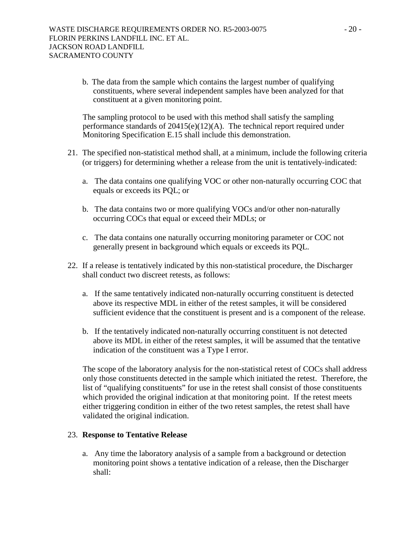b. The data from the sample which contains the largest number of qualifying constituents, where several independent samples have been analyzed for that constituent at a given monitoring point.

The sampling protocol to be used with this method shall satisfy the sampling performance standards of 20415(e)(12)(A). The technical report required under Monitoring Specification E.15 shall include this demonstration.

- 21. The specified non-statistical method shall, at a minimum, include the following criteria (or triggers) for determining whether a release from the unit is tentatively-indicated:
	- a. The data contains one qualifying VOC or other non-naturally occurring COC that equals or exceeds its PQL; or
	- b. The data contains two or more qualifying VOCs and/or other non-naturally occurring COCs that equal or exceed their MDLs; or
	- c. The data contains one naturally occurring monitoring parameter or COC not generally present in background which equals or exceeds its PQL.
- 22. If a release is tentatively indicated by this non-statistical procedure, the Discharger shall conduct two discreet retests, as follows:
	- a. If the same tentatively indicated non-naturally occurring constituent is detected above its respective MDL in either of the retest samples, it will be considered sufficient evidence that the constituent is present and is a component of the release.
	- b. If the tentatively indicated non-naturally occurring constituent is not detected above its MDL in either of the retest samples, it will be assumed that the tentative indication of the constituent was a Type I error.

The scope of the laboratory analysis for the non-statistical retest of COCs shall address only those constituents detected in the sample which initiated the retest. Therefore, the list of "qualifying constituents" for use in the retest shall consist of those constituents which provided the original indication at that monitoring point. If the retest meets either triggering condition in either of the two retest samples, the retest shall have validated the original indication.

### 23. **Response to Tentative Release**

a. Any time the laboratory analysis of a sample from a background or detection monitoring point shows a tentative indication of a release, then the Discharger shall: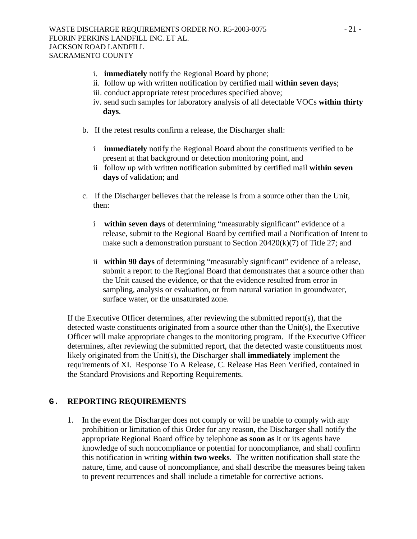- i. **immediately** notify the Regional Board by phone;
- ii. follow up with written notification by certified mail **within seven days**;
- iii. conduct appropriate retest procedures specified above;
- iv. send such samples for laboratory analysis of all detectable VOCs **within thirty days**.
- b. If the retest results confirm a release, the Discharger shall:
	- i **immediately** notify the Regional Board about the constituents verified to be present at that background or detection monitoring point, and
	- ii follow up with written notification submitted by certified mail **within seven days** of validation; and
- c. If the Discharger believes that the release is from a source other than the Unit, then:
	- i **within seven days** of determining "measurably significant" evidence of a release, submit to the Regional Board by certified mail a Notification of Intent to make such a demonstration pursuant to Section  $20420(k)(7)$  of Title 27; and
	- ii **within 90 days** of determining "measurably significant" evidence of a release, submit a report to the Regional Board that demonstrates that a source other than the Unit caused the evidence, or that the evidence resulted from error in sampling, analysis or evaluation, or from natural variation in groundwater, surface water, or the unsaturated zone.

If the Executive Officer determines, after reviewing the submitted report(s), that the detected waste constituents originated from a source other than the Unit(s), the Executive Officer will make appropriate changes to the monitoring program. If the Executive Officer determines, after reviewing the submitted report, that the detected waste constituents most likely originated from the Unit(s), the Discharger shall **immediately** implement the requirements of XI. Response To A Release, C. Release Has Been Verified, contained in the Standard Provisions and Reporting Requirements.

### **G. REPORTING REQUIREMENTS**

1. In the event the Discharger does not comply or will be unable to comply with any prohibition or limitation of this Order for any reason, the Discharger shall notify the appropriate Regional Board office by telephone **as soon as** it or its agents have knowledge of such noncompliance or potential for noncompliance, and shall confirm this notification in writing **within two weeks**. The written notification shall state the nature, time, and cause of noncompliance, and shall describe the measures being taken to prevent recurrences and shall include a timetable for corrective actions.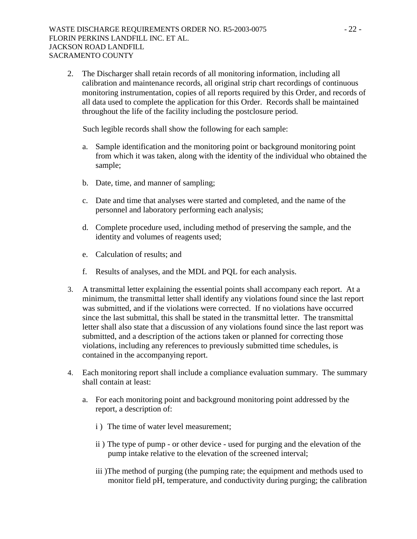2. The Discharger shall retain records of all monitoring information, including all calibration and maintenance records, all original strip chart recordings of continuous monitoring instrumentation, copies of all reports required by this Order, and records of all data used to complete the application for this Order. Records shall be maintained throughout the life of the facility including the postclosure period.

Such legible records shall show the following for each sample:

- a. Sample identification and the monitoring point or background monitoring point from which it was taken, along with the identity of the individual who obtained the sample;
- b. Date, time, and manner of sampling;
- c. Date and time that analyses were started and completed, and the name of the personnel and laboratory performing each analysis;
- d. Complete procedure used, including method of preserving the sample, and the identity and volumes of reagents used;
- e. Calculation of results; and
- f. Results of analyses, and the MDL and PQL for each analysis.
- 3. A transmittal letter explaining the essential points shall accompany each report. At a minimum, the transmittal letter shall identify any violations found since the last report was submitted, and if the violations were corrected. If no violations have occurred since the last submittal, this shall be stated in the transmittal letter. The transmittal letter shall also state that a discussion of any violations found since the last report was submitted, and a description of the actions taken or planned for correcting those violations, including any references to previously submitted time schedules, is contained in the accompanying report.
- 4. Each monitoring report shall include a compliance evaluation summary. The summary shall contain at least:
	- a. For each monitoring point and background monitoring point addressed by the report, a description of:
		- i ) The time of water level measurement;
		- ii ) The type of pump or other device used for purging and the elevation of the pump intake relative to the elevation of the screened interval;
		- iii ) The method of purging (the pumping rate; the equipment and methods used to monitor field pH, temperature, and conductivity during purging; the calibration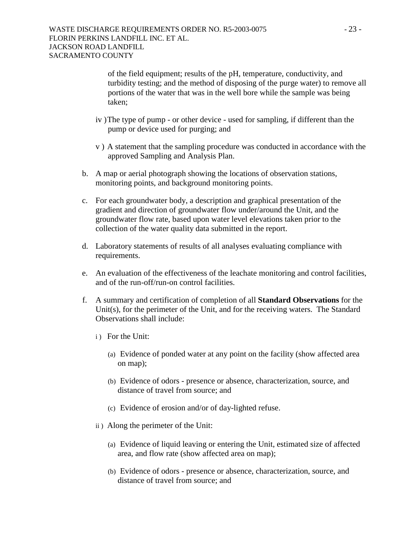of the field equipment; results of the pH, temperature, conductivity, and turbidity testing; and the method of disposing of the purge water) to remove all portions of the water that was in the well bore while the sample was being taken;

- iv ) The type of pump or other device used for sampling, if different than the pump or device used for purging; and
- v ) A statement that the sampling procedure was conducted in accordance with the approved Sampling and Analysis Plan.
- b. A map or aerial photograph showing the locations of observation stations, monitoring points, and background monitoring points.
- c. For each groundwater body, a description and graphical presentation of the gradient and direction of groundwater flow under/around the Unit, and the groundwater flow rate, based upon water level elevations taken prior to the collection of the water quality data submitted in the report.
- d. Laboratory statements of results of all analyses evaluating compliance with requirements.
- e. An evaluation of the effectiveness of the leachate monitoring and control facilities, and of the run-off/run-on control facilities.
- f. A summary and certification of completion of all **Standard Observations** for the Unit(s), for the perimeter of the Unit, and for the receiving waters. The Standard Observations shall include:
	- i) For the Unit:
		- (a) Evidence of ponded water at any point on the facility (show affected area on map);
		- (b) Evidence of odors presence or absence, characterization, source, and distance of travel from source; and
		- (c) Evidence of erosion and/or of day-lighted refuse.
	- ii ) Along the perimeter of the Unit:
		- (a) Evidence of liquid leaving or entering the Unit, estimated size of affected area, and flow rate (show affected area on map);
		- (b) Evidence of odors presence or absence, characterization, source, and distance of travel from source; and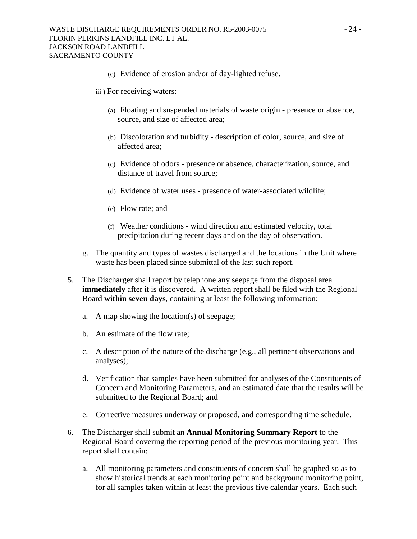- (c) Evidence of erosion and/or of day-lighted refuse.
- iii ) For receiving waters:
	- (a) Floating and suspended materials of waste origin presence or absence, source, and size of affected area;
	- (b) Discoloration and turbidity description of color, source, and size of affected area;
	- (c) Evidence of odors presence or absence, characterization, source, and distance of travel from source;
	- (d) Evidence of water uses presence of water-associated wildlife;
	- (e) Flow rate; and
	- (f) Weather conditions wind direction and estimated velocity, total precipitation during recent days and on the day of observation.
- g. The quantity and types of wastes discharged and the locations in the Unit where waste has been placed since submittal of the last such report.
- 5. The Discharger shall report by telephone any seepage from the disposal area **immediately** after it is discovered. A written report shall be filed with the Regional Board **within seven days**, containing at least the following information:
	- a. A map showing the location(s) of seepage;
	- b. An estimate of the flow rate;
	- c. A description of the nature of the discharge (e.g., all pertinent observations and analyses);
	- d. Verification that samples have been submitted for analyses of the Constituents of Concern and Monitoring Parameters, and an estimated date that the results will be submitted to the Regional Board; and
	- e. Corrective measures underway or proposed, and corresponding time schedule.
- 6. The Discharger shall submit an **Annual Monitoring Summary Report** to the Regional Board covering the reporting period of the previous monitoring year. This report shall contain:
	- a. All monitoring parameters and constituents of concern shall be graphed so as to show historical trends at each monitoring point and background monitoring point, for all samples taken within at least the previous five calendar years. Each such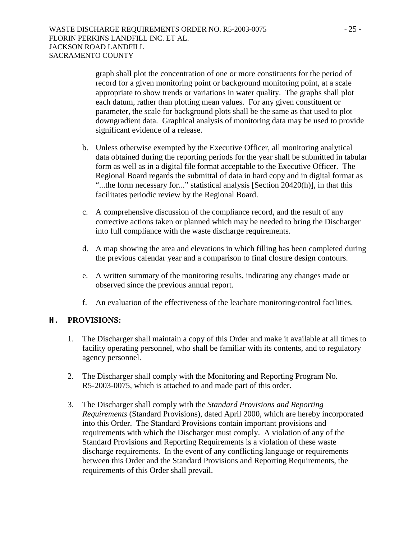graph shall plot the concentration of one or more constituents for the period of record for a given monitoring point or background monitoring point, at a scale appropriate to show trends or variations in water quality. The graphs shall plot each datum, rather than plotting mean values. For any given constituent or parameter, the scale for background plots shall be the same as that used to plot downgradient data. Graphical analysis of monitoring data may be used to provide significant evidence of a release.

- b. Unless otherwise exempted by the Executive Officer, all monitoring analytical data obtained during the reporting periods for the year shall be submitted in tabular form as well as in a digital file format acceptable to the Executive Officer. The Regional Board regards the submittal of data in hard copy and in digital format as "...the form necessary for..." statistical analysis [Section 20420(h)], in that this facilitates periodic review by the Regional Board.
- c. A comprehensive discussion of the compliance record, and the result of any corrective actions taken or planned which may be needed to bring the Discharger into full compliance with the waste discharge requirements.
- d. A map showing the area and elevations in which filling has been completed during the previous calendar year and a comparison to final closure design contours.
- e. A written summary of the monitoring results, indicating any changes made or observed since the previous annual report.
- f. An evaluation of the effectiveness of the leachate monitoring/control facilities.

### **H. PROVISIONS:**

- 1. The Discharger shall maintain a copy of this Order and make it available at all times to facility operating personnel, who shall be familiar with its contents, and to regulatory agency personnel.
- 2. The Discharger shall comply with the Monitoring and Reporting Program No. R5-2003-0075, which is attached to and made part of this order.
- 3. The Discharger shall comply with the *Standard Provisions and Reporting Requirements* (Standard Provisions), dated April 2000, which are hereby incorporated into this Order. The Standard Provisions contain important provisions and requirements with which the Discharger must comply. A violation of any of the Standard Provisions and Reporting Requirements is a violation of these waste discharge requirements. In the event of any conflicting language or requirements between this Order and the Standard Provisions and Reporting Requirements, the requirements of this Order shall prevail.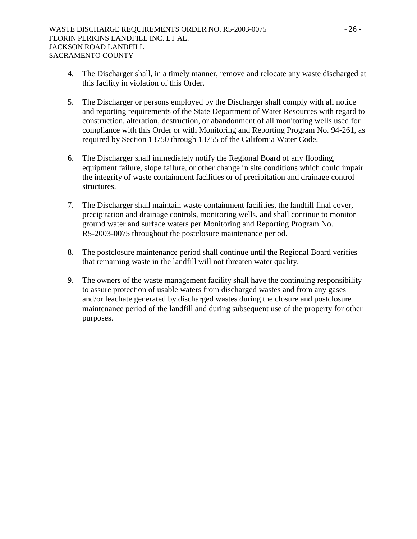- 4. The Discharger shall, in a timely manner, remove and relocate any waste discharged at this facility in violation of this Order.
- 5. The Discharger or persons employed by the Discharger shall comply with all notice and reporting requirements of the State Department of Water Resources with regard to construction, alteration, destruction, or abandonment of all monitoring wells used for compliance with this Order or with Monitoring and Reporting Program No. 94-261, as required by Section 13750 through 13755 of the California Water Code.
- 6. The Discharger shall immediately notify the Regional Board of any flooding, equipment failure, slope failure, or other change in site conditions which could impair the integrity of waste containment facilities or of precipitation and drainage control structures.
- 7. The Discharger shall maintain waste containment facilities, the landfill final cover, precipitation and drainage controls, monitoring wells, and shall continue to monitor ground water and surface waters per Monitoring and Reporting Program No. R5-2003-0075 throughout the postclosure maintenance period.
- 8. The postclosure maintenance period shall continue until the Regional Board verifies that remaining waste in the landfill will not threaten water quality.
- 9. The owners of the waste management facility shall have the continuing responsibility to assure protection of usable waters from discharged wastes and from any gases and/or leachate generated by discharged wastes during the closure and postclosure maintenance period of the landfill and during subsequent use of the property for other purposes.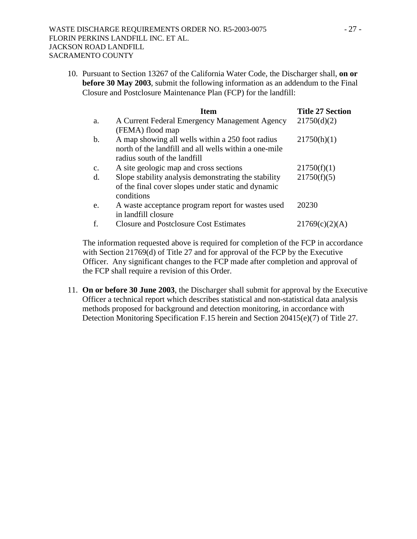10. Pursuant to Section 13267 of the California Water Code, the Discharger shall, **on or before 30 May 2003**, submit the following information as an addendum to the Final Closure and Postclosure Maintenance Plan (FCP) for the landfill:

|    | <b>Item</b>                                           | <b>Title 27 Section</b> |
|----|-------------------------------------------------------|-------------------------|
| a. | A Current Federal Emergency Management Agency         | 21750(d)(2)             |
|    | (FEMA) flood map                                      |                         |
| b. | A map showing all wells within a 250 foot radius      | 21750(h)(1)             |
|    | north of the landfill and all wells within a one-mile |                         |
|    | radius south of the landfill                          |                         |
| C. | A site geologic map and cross sections                | 21750(f)(1)             |
| d. | Slope stability analysis demonstrating the stability  | 21750(f)(5)             |
|    | of the final cover slopes under static and dynamic    |                         |
|    | conditions                                            |                         |
| e. | A waste acceptance program report for wastes used     | 20230                   |
|    | in landfill closure                                   |                         |
|    | <b>Closure and Postclosure Cost Estimates</b>         | 21769(c)(2)(A)          |

The information requested above is required for completion of the FCP in accordance with Section 21769(d) of Title 27 and for approval of the FCP by the Executive Officer. Any significant changes to the FCP made after completion and approval of the FCP shall require a revision of this Order.

11. **On or before 30 June 2003**, the Discharger shall submit for approval by the Executive Officer a technical report which describes statistical and non-statistical data analysis methods proposed for background and detection monitoring, in accordance with Detection Monitoring Specification F.15 herein and Section 20415(e)(7) of Title 27.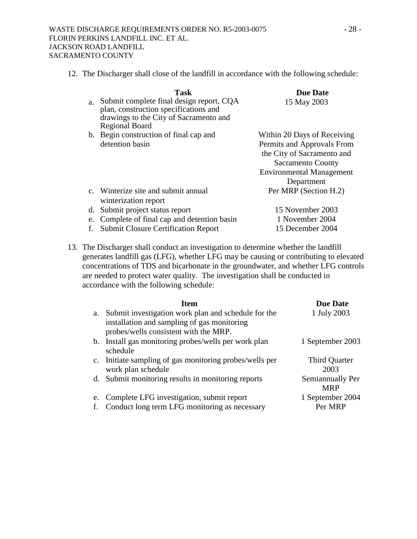| $a_{-}$ | Task<br>Submit complete final design report, CQA                                                         | <b>Due Date</b><br>15 May 2003  |
|---------|----------------------------------------------------------------------------------------------------------|---------------------------------|
|         | plan, construction specifications and<br>drawings to the City of Sacramento and<br><b>Regional Board</b> |                                 |
|         | b. Begin construction of final cap and                                                                   | Within 20 Days of Receiving     |
|         | detention basin                                                                                          | Permits and Approvals From      |
|         |                                                                                                          | the City of Sacramento and      |
|         |                                                                                                          | <b>Sacramento County</b>        |
|         |                                                                                                          | <b>Environmental Management</b> |
|         |                                                                                                          | Department                      |
|         | c. Winterize site and submit annual                                                                      | Per MRP (Section H.2)           |
|         | winterization report                                                                                     |                                 |
| d.      | Submit project status report                                                                             | 15 November 2003                |
| e.      | Complete of final cap and detention basin                                                                | 1 November 2004                 |
|         | <b>Submit Closure Certification Report</b>                                                               | 15 December 2004                |

12. The Discharger shall close of the landfill in accordance with the following schedule:

13. The Discharger shall conduct an investigation to determine whether the landfill generates landfill gas (LFG), whether LFG may be causing or contributing to elevated concentrations of TDS and bicarbonate in the groundwater, and whether LFG controls are needed to protect water quality. The investigation shall be conducted in accordance with the following schedule:

|    | <b>Item</b>                                                      | <b>Due Date</b>  |
|----|------------------------------------------------------------------|------------------|
|    | a. Submit investigation work plan and schedule for the           | 1 July 2003      |
|    | installation and sampling of gas monitoring                      |                  |
|    | probes/wells consistent with the MRP.                            |                  |
|    | b. Install gas monitoring probes/wells per work plan<br>schedule | 1 September 2003 |
|    | c. Initiate sampling of gas monitoring probes/wells per          | Third Quarter    |
|    | work plan schedule                                               | 2003             |
|    | d. Submit monitoring results in monitoring reports               | Semiannually Per |
|    |                                                                  | <b>MRP</b>       |
| e. | Complete LFG investigation, submit report                        | 1 September 2004 |
|    | Conduct long term LFG monitoring as necessary                    | Per MRP          |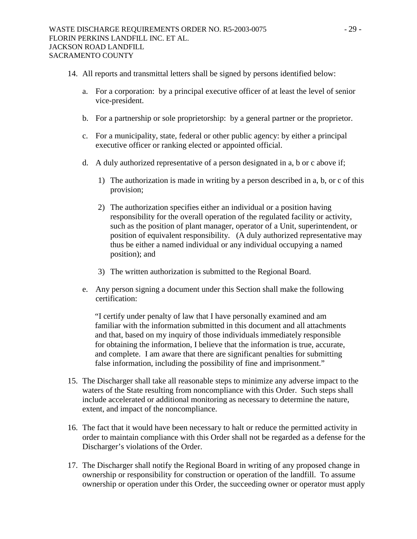- 14. All reports and transmittal letters shall be signed by persons identified below:
	- a. For a corporation: by a principal executive officer of at least the level of senior vice-president.
	- b. For a partnership or sole proprietorship: by a general partner or the proprietor.
	- c. For a municipality, state, federal or other public agency: by either a principal executive officer or ranking elected or appointed official.
	- d. A duly authorized representative of a person designated in a, b or c above if;
		- 1) The authorization is made in writing by a person described in a, b, or c of this provision;
		- 2) The authorization specifies either an individual or a position having responsibility for the overall operation of the regulated facility or activity, such as the position of plant manager, operator of a Unit, superintendent, or position of equivalent responsibility. (A duly authorized representative may thus be either a named individual or any individual occupying a named position); and
		- 3) The written authorization is submitted to the Regional Board.
	- e. Any person signing a document under this Section shall make the following certification:

"I certify under penalty of law that I have personally examined and am familiar with the information submitted in this document and all attachments and that, based on my inquiry of those individuals immediately responsible for obtaining the information, I believe that the information is true, accurate, and complete. I am aware that there are significant penalties for submitting false information, including the possibility of fine and imprisonment."

- 15. The Discharger shall take all reasonable steps to minimize any adverse impact to the waters of the State resulting from noncompliance with this Order. Such steps shall include accelerated or additional monitoring as necessary to determine the nature, extent, and impact of the noncompliance.
- 16. The fact that it would have been necessary to halt or reduce the permitted activity in order to maintain compliance with this Order shall not be regarded as a defense for the Discharger's violations of the Order.
- 17. The Discharger shall notify the Regional Board in writing of any proposed change in ownership or responsibility for construction or operation of the landfill. To assume ownership or operation under this Order, the succeeding owner or operator must apply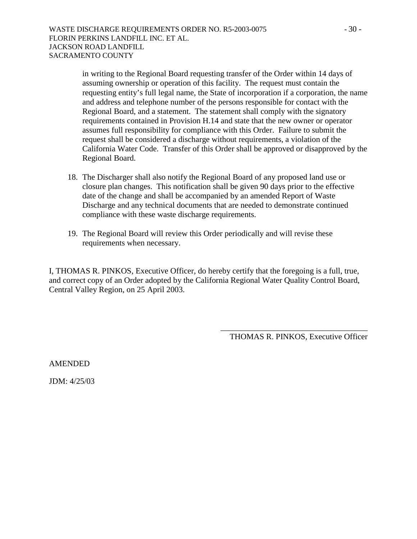in writing to the Regional Board requesting transfer of the Order within 14 days of assuming ownership or operation of this facility. The request must contain the requesting entity's full legal name, the State of incorporation if a corporation, the name and address and telephone number of the persons responsible for contact with the Regional Board, and a statement. The statement shall comply with the signatory requirements contained in Provision H.14 and state that the new owner or operator assumes full responsibility for compliance with this Order. Failure to submit the request shall be considered a discharge without requirements, a violation of the California Water Code. Transfer of this Order shall be approved or disapproved by the Regional Board.

- 18. The Discharger shall also notify the Regional Board of any proposed land use or closure plan changes. This notification shall be given 90 days prior to the effective date of the change and shall be accompanied by an amended Report of Waste Discharge and any technical documents that are needed to demonstrate continued compliance with these waste discharge requirements.
- 19. The Regional Board will review this Order periodically and will revise these requirements when necessary.

I, THOMAS R. PINKOS, Executive Officer, do hereby certify that the foregoing is a full, true, and correct copy of an Order adopted by the California Regional Water Quality Control Board, Central Valley Region, on 25 April 2003.

> \_\_\_\_\_\_\_\_\_\_\_\_\_\_\_\_\_\_\_\_\_\_\_\_\_\_\_\_\_\_\_\_\_\_\_\_ THOMAS R. PINKOS, Executive Officer

AMENDED

JDM: 4/25/03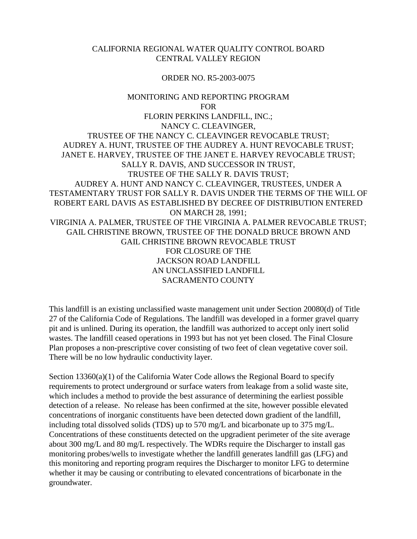### CALIFORNIA REGIONAL WATER QUALITY CONTROL BOARD CENTRAL VALLEY REGION

### ORDER NO. R5-2003-0075

## MONITORING AND REPORTING PROGRAM **FOR** FLORIN PERKINS LANDFILL, INC.; NANCY C. CLEAVINGER, TRUSTEE OF THE NANCY C. CLEAVINGER REVOCABLE TRUST; AUDREY A. HUNT, TRUSTEE OF THE AUDREY A. HUNT REVOCABLE TRUST; JANET E. HARVEY, TRUSTEE OF THE JANET E. HARVEY REVOCABLE TRUST; SALLY R. DAVIS, AND SUCCESSOR IN TRUST, TRUSTEE OF THE SALLY R. DAVIS TRUST; AUDREY A. HUNT AND NANCY C. CLEAVINGER, TRUSTEES, UNDER A TESTAMENTARY TRUST FOR SALLY R. DAVIS UNDER THE TERMS OF THE WILL OF ROBERT EARL DAVIS AS ESTABLISHED BY DECREE OF DISTRIBUTION ENTERED ON MARCH 28, 1991; VIRGINIA A. PALMER, TRUSTEE OF THE VIRGINIA A. PALMER REVOCABLE TRUST; GAIL CHRISTINE BROWN, TRUSTEE OF THE DONALD BRUCE BROWN AND GAIL CHRISTINE BROWN REVOCABLE TRUST FOR CLOSURE OF THE JACKSON ROAD LANDFILL AN UNCLASSIFIED LANDFILL SACRAMENTO COUNTY

This landfill is an existing unclassified waste management unit under Section 20080(d) of Title 27 of the California Code of Regulations. The landfill was developed in a former gravel quarry pit and is unlined. During its operation, the landfill was authorized to accept only inert solid wastes. The landfill ceased operations in 1993 but has not yet been closed. The Final Closure Plan proposes a non-prescriptive cover consisting of two feet of clean vegetative cover soil. There will be no low hydraulic conductivity layer.

Section 13360(a)(1) of the California Water Code allows the Regional Board to specify requirements to protect underground or surface waters from leakage from a solid waste site, which includes a method to provide the best assurance of determining the earliest possible detection of a release. No release has been confirmed at the site, however possible elevated concentrations of inorganic constituents have been detected down gradient of the landfill, including total dissolved solids (TDS) up to 570 mg/L and bicarbonate up to 375 mg/L. Concentrations of these constituents detected on the upgradient perimeter of the site average about 300 mg/L and 80 mg/L respectively. The WDRs require the Discharger to install gas monitoring probes/wells to investigate whether the landfill generates landfill gas (LFG) and this monitoring and reporting program requires the Discharger to monitor LFG to determine whether it may be causing or contributing to elevated concentrations of bicarbonate in the groundwater.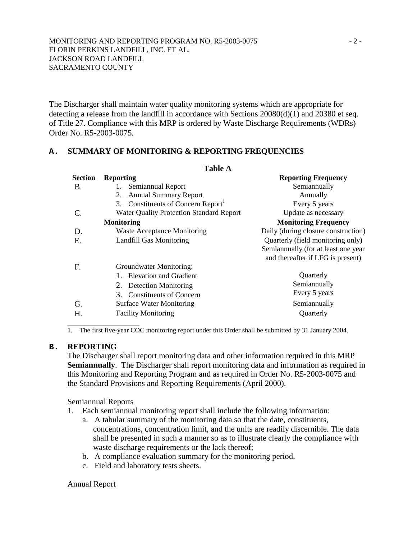The Discharger shall maintain water quality monitoring systems which are appropriate for detecting a release from the landfill in accordance with Sections 20080(d)(1) and 20380 et seq. of Title 27. Compliance with this MRP is ordered by Waste Discharge Requirements (WDRs) Order No. R5-2003-0075.

### **A. SUMMARY OF MONITORING & REPORTING FREQUENCIES**

| <b>Table A</b> |                                                  |                                     |  |  |
|----------------|--------------------------------------------------|-------------------------------------|--|--|
| <b>Section</b> | <b>Reporting</b>                                 | <b>Reporting Frequency</b>          |  |  |
| B.             | Semiannual Report                                | Semiannually                        |  |  |
|                | 2.<br><b>Annual Summary Report</b>               | Annually                            |  |  |
|                | 3. Constituents of Concern Report <sup>1</sup>   | Every 5 years                       |  |  |
|                | <b>Water Quality Protection Standard Report</b>  | Update as necessary                 |  |  |
|                | <b>Monitoring</b>                                | <b>Monitoring Frequency</b>         |  |  |
| D.             | <b>Waste Acceptance Monitoring</b>               | Daily (during closure construction) |  |  |
| Ε.             | <b>Landfill Gas Monitoring</b>                   | Quarterly (field monitoring only)   |  |  |
|                |                                                  | Semiannually (for at least one year |  |  |
|                |                                                  | and thereafter if LFG is present)   |  |  |
| F.             | Groundwater Monitoring:                          |                                     |  |  |
|                | 1. Elevation and Gradient                        | Quarterly                           |  |  |
|                | Detection Monitoring<br>2.                       | Semiannually                        |  |  |
|                | <b>Constituents of Concern</b><br>3 <sub>1</sub> | Every 5 years                       |  |  |
| G.             | <b>Surface Water Monitoring</b>                  | Semiannually                        |  |  |
| Н.             | <b>Facility Monitoring</b>                       | Quarterly                           |  |  |
|                |                                                  |                                     |  |  |

1. The first five-year COC monitoring report under this Order shall be submitted by 31 January 2004.

#### **B. REPORTING**

The Discharger shall report monitoring data and other information required in this MRP **Semiannually**. The Discharger shall report monitoring data and information as required in this Monitoring and Reporting Program and as required in Order No. R5-2003-0075 and the Standard Provisions and Reporting Requirements (April 2000).

Semiannual Reports

- 1. Each semiannual monitoring report shall include the following information:
	- a. A tabular summary of the monitoring data so that the date, constituents, concentrations, concentration limit, and the units are readily discernible. The data shall be presented in such a manner so as to illustrate clearly the compliance with waste discharge requirements or the lack thereof;
	- b. A compliance evaluation summary for the monitoring period.
	- c. Field and laboratory tests sheets.

#### Annual Report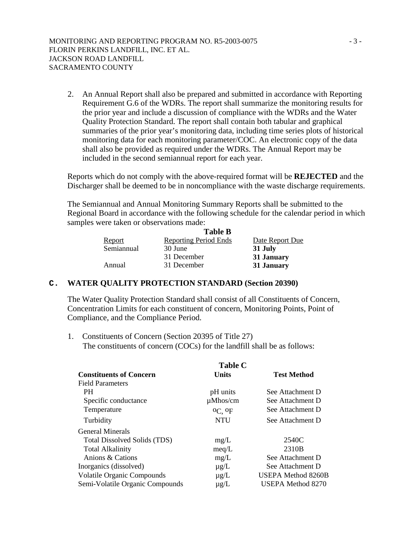2. An Annual Report shall also be prepared and submitted in accordance with Reporting Requirement G.6 of the WDRs. The report shall summarize the monitoring results for the prior year and include a discussion of compliance with the WDRs and the Water Quality Protection Standard. The report shall contain both tabular and graphical summaries of the prior year's monitoring data, including time series plots of historical monitoring data for each monitoring parameter/COC. An electronic copy of the data shall also be provided as required under the WDRs. The Annual Report may be included in the second semiannual report for each year.

Reports which do not comply with the above-required format will be **REJECTED** and the Discharger shall be deemed to be in noncompliance with the waste discharge requirements.

The Semiannual and Annual Monitoring Summary Reports shall be submitted to the Regional Board in accordance with the following schedule for the calendar period in which samples were taken or observations made:

|               | <b>Table B</b>               |                 |
|---------------|------------------------------|-----------------|
| <b>Report</b> | <b>Reporting Period Ends</b> | Date Report Due |
| Semiannual    | 30 June                      | 31 July         |
|               | 31 December                  | 31 January      |
| Annual        | 31 December                  | 31 January      |

#### **C. WATER QUALITY PROTECTION STANDARD (Section 20390)**

The Water Quality Protection Standard shall consist of all Constituents of Concern, Concentration Limits for each constituent of concern, Monitoring Points, Point of Compliance, and the Compliance Period.

1. Constituents of Concern (Section 20395 of Title 27) The constituents of concern (COCs) for the landfill shall be as follows:

|                                   | <b>Table C</b> |                           |  |
|-----------------------------------|----------------|---------------------------|--|
| <b>Constituents of Concern</b>    | <b>Units</b>   | <b>Test Method</b>        |  |
| <b>Field Parameters</b>           |                |                           |  |
| <b>PH</b>                         | pH units       | See Attachment D          |  |
| Specific conductance              | $\mu M$ hos/cm | See Attachment D          |  |
| Temperature                       | $^0C$ . $^0F$  | See Attachment D          |  |
| Turbidity                         | <b>NTU</b>     | See Attachment D          |  |
| <b>General Minerals</b>           |                |                           |  |
| Total Dissolved Solids (TDS)      | mg/L           | 2540C                     |  |
| <b>Total Alkalinity</b>           | meq/L          | 2310 <sub>B</sub>         |  |
| Anions & Cations                  | mg/L           | See Attachment D          |  |
| Inorganics (dissolved)            | $\mu$ g/L      | See Attachment D          |  |
| <b>Volatile Organic Compounds</b> | $\mu$ g/L      | <b>USEPA Method 8260B</b> |  |
| Semi-Volatile Organic Compounds   | $\mu$ g/L      | <b>USEPA Method 8270</b>  |  |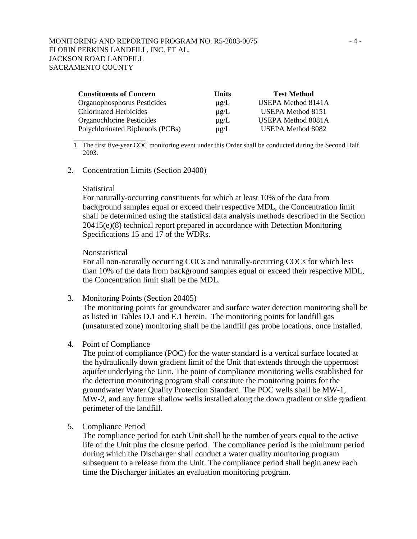| <b>Constituents of Concern</b>   | <b>Units</b> | <b>Test Method</b>        |
|----------------------------------|--------------|---------------------------|
| Organophosphorus Pesticides      | $\mu$ g/L    | <b>USEPA Method 8141A</b> |
| <b>Chlorinated Herbicides</b>    | $\mu$ g/L    | <b>USEPA Method 8151</b>  |
| Organochlorine Pesticides        | $\mu$ g/L    | USEPA Method 8081A        |
| Polychlorinated Biphenols (PCBs) | $\mu$ g/L    | USEPA Method 8082         |

1. The first five-year COC monitoring event under this Order shall be conducted during the Second Half 2003.

#### 2. Concentration Limits (Section 20400)

#### **Statistical**

\_\_\_\_\_\_\_\_\_\_\_\_\_\_\_\_\_\_\_\_\_

For naturally-occurring constituents for which at least 10% of the data from background samples equal or exceed their respective MDL, the Concentration limit shall be determined using the statistical data analysis methods described in the Section 20415(e)(8) technical report prepared in accordance with Detection Monitoring Specifications 15 and 17 of the WDRs.

#### Nonstatistical

For all non-naturally occurring COCs and naturally-occurring COCs for which less than 10% of the data from background samples equal or exceed their respective MDL, the Concentration limit shall be the MDL.

3. Monitoring Points (Section 20405)

The monitoring points for groundwater and surface water detection monitoring shall be as listed in Tables D.1 and E.1 herein. The monitoring points for landfill gas (unsaturated zone) monitoring shall be the landfill gas probe locations, once installed.

4. Point of Compliance

The point of compliance (POC) for the water standard is a vertical surface located at the hydraulically down gradient limit of the Unit that extends through the uppermost aquifer underlying the Unit. The point of compliance monitoring wells established for the detection monitoring program shall constitute the monitoring points for the groundwater Water Quality Protection Standard. The POC wells shall be MW-1, MW-2, and any future shallow wells installed along the down gradient or side gradient perimeter of the landfill.

5. Compliance Period

The compliance period for each Unit shall be the number of years equal to the active life of the Unit plus the closure period. The compliance period is the minimum period during which the Discharger shall conduct a water quality monitoring program subsequent to a release from the Unit. The compliance period shall begin anew each time the Discharger initiates an evaluation monitoring program.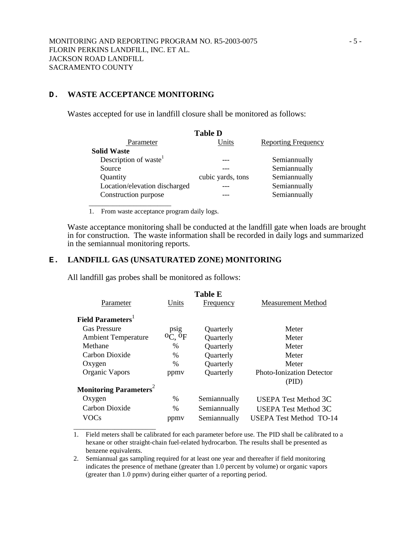### **D. WASTE ACCEPTANCE MONITORING**

\_\_\_\_\_\_\_\_\_\_\_\_\_\_\_\_\_\_\_\_\_\_\_\_

Wastes accepted for use in landfill closure shall be monitored as follows:

| <b>Table D</b>                    |                   |                            |  |  |
|-----------------------------------|-------------------|----------------------------|--|--|
| Parameter                         | Units             | <b>Reporting Frequency</b> |  |  |
| <b>Solid Waste</b>                |                   |                            |  |  |
| Description of waste <sup>1</sup> |                   | Semiannually               |  |  |
| Source                            |                   | Semiannually               |  |  |
| Quantity                          | cubic yards, tons | Semiannually               |  |  |
| Location/elevation discharged     |                   | Semiannually               |  |  |
| Construction purpose              |                   | Semiannually               |  |  |
|                                   |                   |                            |  |  |

1. From waste acceptance program daily logs.

Waste acceptance monitoring shall be conducted at the landfill gate when loads are brought in for construction. The waste information shall be recorded in daily logs and summarized in the semiannual monitoring reports.

### **E. LANDFILL GAS (UNSATURATED ZONE) MONITORING**

All landfill gas probes shall be monitored as follows:

| <b>Table E</b> |                                      |                                  |  |  |  |
|----------------|--------------------------------------|----------------------------------|--|--|--|
| Units          | Frequency                            | Measurement Method               |  |  |  |
|                |                                      |                                  |  |  |  |
| psig           | Quarterly                            | Meter                            |  |  |  |
|                | Quarterly                            | Meter                            |  |  |  |
| $\%$           | Quarterly                            | Meter                            |  |  |  |
| $\%$           | Quarterly                            | Meter                            |  |  |  |
| $\frac{0}{0}$  | Quarterly                            | Meter                            |  |  |  |
| ppmy           | Quarterly                            | <b>Photo-Ionization Detector</b> |  |  |  |
|                |                                      | (PID)                            |  |  |  |
|                |                                      |                                  |  |  |  |
| $\%$           | Semiannually                         | USEPA Test Method 3C             |  |  |  |
| $\%$           | Semiannually                         | <b>USEPA Test Method 3C</b>      |  |  |  |
| ppmy           | Semiannually                         | <b>USEPA Test Method TO-14</b>   |  |  |  |
|                | $^{\mathrm{O}}$ C, $^{\mathrm{O}}$ F |                                  |  |  |  |

1. Field meters shall be calibrated for each parameter before use. The PID shall be calibrated to a hexane or other straight-chain fuel-related hydrocarbon. The results shall be presented as benzene equivalents.

2. Semiannual gas sampling required for at least one year and thereafter if field monitoring indicates the presence of methane (greater than 1.0 percent by volume) or organic vapors (greater than 1.0 ppmv) during either quarter of a reporting period.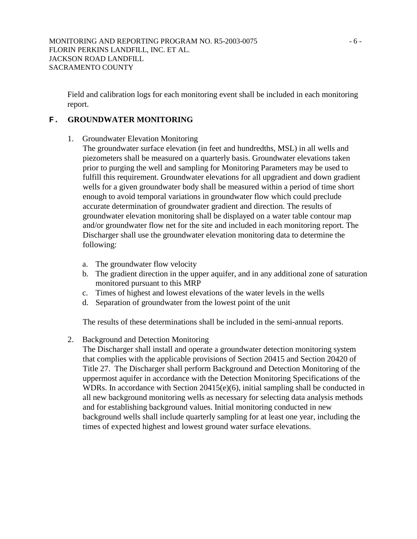Field and calibration logs for each monitoring event shall be included in each monitoring report.

## **F. GROUNDWATER MONITORING**

- 1. Groundwater Elevation Monitoring
	- The groundwater surface elevation (in feet and hundredths, MSL) in all wells and piezometers shall be measured on a quarterly basis. Groundwater elevations taken prior to purging the well and sampling for Monitoring Parameters may be used to fulfill this requirement. Groundwater elevations for all upgradient and down gradient wells for a given groundwater body shall be measured within a period of time short enough to avoid temporal variations in groundwater flow which could preclude accurate determination of groundwater gradient and direction. The results of groundwater elevation monitoring shall be displayed on a water table contour map and/or groundwater flow net for the site and included in each monitoring report. The Discharger shall use the groundwater elevation monitoring data to determine the following:
		- a. The groundwater flow velocity
		- b. The gradient direction in the upper aquifer, and in any additional zone of saturation monitored pursuant to this MRP
		- c. Times of highest and lowest elevations of the water levels in the wells
		- d. Separation of groundwater from the lowest point of the unit

The results of these determinations shall be included in the semi-annual reports.

2. Background and Detection Monitoring

The Discharger shall install and operate a groundwater detection monitoring system that complies with the applicable provisions of Section 20415 and Section 20420 of Title 27. The Discharger shall perform Background and Detection Monitoring of the uppermost aquifer in accordance with the Detection Monitoring Specifications of the WDRs. In accordance with Section 20415(e)(6), initial sampling shall be conducted in all new background monitoring wells as necessary for selecting data analysis methods and for establishing background values. Initial monitoring conducted in new background wells shall include quarterly sampling for at least one year, including the times of expected highest and lowest ground water surface elevations.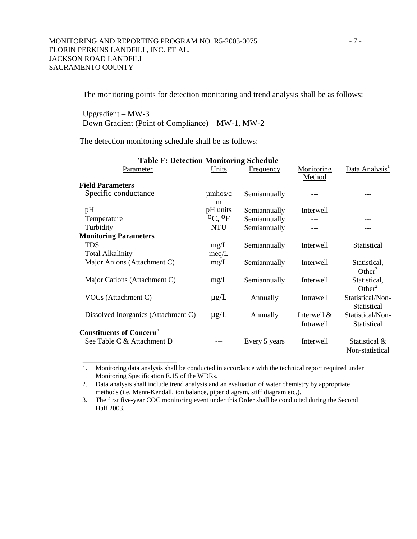The monitoring points for detection monitoring and trend analysis shall be as follows:

Upgradient – MW-3 Down Gradient (Point of Compliance) – MW-1, MW-2

The detection monitoring schedule shall be as follows:

\_\_\_\_\_\_\_\_\_\_\_\_\_\_\_\_\_\_\_\_\_\_\_

| <b>Table F: Detection Monitoring Schedule</b> |                                |               |                      |                                    |  |
|-----------------------------------------------|--------------------------------|---------------|----------------------|------------------------------------|--|
| Parameter                                     | Units                          | Frequency     | Monitoring<br>Method | Data Analysis <sup>1</sup>         |  |
| <b>Field Parameters</b>                       |                                |               |                      |                                    |  |
| Specific conductance                          | $\mu$ mhos/c<br>m              | Semiannually  |                      |                                    |  |
| pH                                            | pH units                       | Semiannually  | Interwell            |                                    |  |
| Temperature                                   | <sup>O</sup> C, <sup>O</sup> F | Semiannually  |                      |                                    |  |
| Turbidity                                     | <b>NTU</b>                     | Semiannually  |                      |                                    |  |
| <b>Monitoring Parameters</b>                  |                                |               |                      |                                    |  |
| <b>TDS</b>                                    | mg/L                           | Semiannually  | Interwell            | Statistical                        |  |
| <b>Total Alkalinity</b>                       | meq/L                          |               |                      |                                    |  |
| Major Anions (Attachment C)                   | mg/L                           | Semiannually  | Interwell            | Statistical,<br>Other <sup>2</sup> |  |
| Major Cations (Attachment C)                  | mg/L                           | Semiannually  | Interwell            | Statistical,<br>Other <sup>2</sup> |  |
| VOCs (Attachment C)                           | $\mu$ g/L                      | Annually      | Intrawell            | Statistical/Non-<br>Statistical    |  |
| Dissolved Inorganics (Attachment C)           | $\mu$ g/L                      | Annually      | Interwell $\&$       | Statistical/Non-                   |  |
| <b>Constituents of Concern<sup>3</sup></b>    |                                |               | Intrawell            | Statistical                        |  |
| See Table C & Attachment D                    |                                | Every 5 years | Interwell            | Statistical &<br>Non-statistical   |  |

1. Monitoring data analysis shall be conducted in accordance with the technical report required under Monitoring Specification E.15 of the WDRs.

2. Data analysis shall include trend analysis and an evaluation of water chemistry by appropriate methods (i.e. Menn-Kendall, ion balance, piper diagram, stiff diagram etc.).

3. The first five-year COC monitoring event under this Order shall be conducted during the Second Half 2003.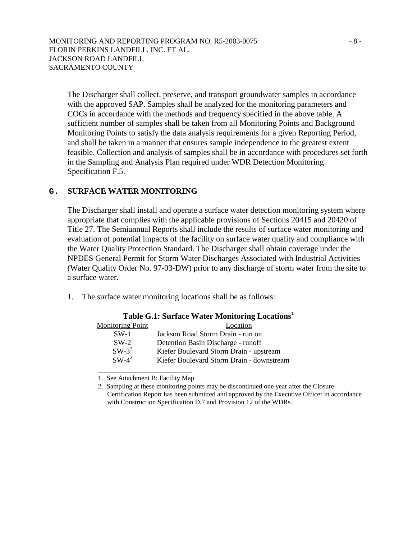The Discharger shall collect, preserve, and transport groundwater samples in accordance with the approved SAP. Samples shall be analyzed for the monitoring parameters and COCs in accordance with the methods and frequency specified in the above table. A sufficient number of samples shall be taken from all Monitoring Points and Background Monitoring Points to satisfy the data analysis requirements for a given Reporting Period, and shall be taken in a manner that ensures sample independence to the greatest extent feasible. Collection and analysis of samples shall be in accordance with procedures set forth in the Sampling and Analysis Plan required under WDR Detection Monitoring Specification F.5.

### **G. SURFACE WATER MONITORING**

The Discharger shall install and operate a surface water detection monitoring system where appropriate that complies with the applicable provisions of Sections 20415 and 20420 of Title 27. The Semiannual Reports shall include the results of surface water monitoring and evaluation of potential impacts of the facility on surface water quality and compliance with the Water Quality Protection Standard. The Discharger shall obtain coverage under the NPDES General Permit for Storm Water Discharges Associated with Industrial Activities (Water Quality Order No. 97-03-DW) prior to any discharge of storm water from the site to a surface water.

1. The surface water monitoring locations shall be as follows:

| Table Oil: Durince Water Monitoring Locations |                                           |  |  |  |
|-----------------------------------------------|-------------------------------------------|--|--|--|
| <b>Monitoring Point</b>                       | Location                                  |  |  |  |
| $SW-1$                                        | Jackson Road Storm Drain - run on         |  |  |  |
| $SW-2$                                        | Detention Basin Discharge - runoff        |  |  |  |
| $SW-3^2$                                      | Kiefer Boulevard Storm Drain - upstream   |  |  |  |
| $SW-4^2$                                      | Kiefer Boulevard Storm Drain - downstream |  |  |  |
|                                               |                                           |  |  |  |

### **Table G.1: Surface Water Monitoring Locations**<sup>1</sup>

1. See Attachment B: Facility Map

<sup>2.</sup> Sampling at these monitoring points may be discontinued one year after the Closure Certification Report has been submitted and approved by the Executive Officer in accordance with Construction Specification D.7 and Provision 12 of the WDRs.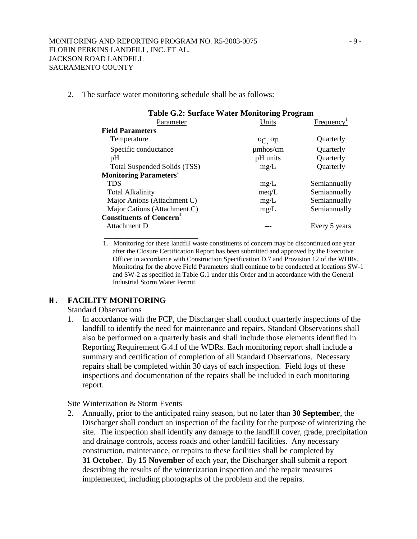2. The surface water monitoring schedule shall be as follows:

| <b>Table G.2: Surface Water Monitoring Program</b> |                                      |                        |  |  |
|----------------------------------------------------|--------------------------------------|------------------------|--|--|
| Parameter                                          | Units                                | Frequency <sup>1</sup> |  |  |
| <b>Field Parameters</b>                            |                                      |                        |  |  |
| Temperature                                        | $^{\mathrm{O}}$ C, $^{\mathrm{O}}$ F | Quarterly              |  |  |
| Specific conductance                               | $\mu$ mhos/cm                        | Quarterly              |  |  |
| pH                                                 | pH units                             | Quarterly              |  |  |
| Total Suspended Solids (TSS)                       | mg/L                                 | Quarterly              |  |  |
| <b>Monitoring Parameters</b> <sup>1</sup>          |                                      |                        |  |  |
| <b>TDS</b>                                         | mg/L                                 | Semiannually           |  |  |
| <b>Total Alkalinity</b>                            | meq/L                                | Semiannually           |  |  |
| Major Anions (Attachment C)                        | mg/L                                 | Semiannually           |  |  |
| Major Cations (Attachment C)                       | mg/L                                 | Semiannually           |  |  |
| <b>Constituents of Concern</b>                     |                                      |                        |  |  |
| Attachment D                                       |                                      | Every 5 years          |  |  |

1. Monitoring for these landfill waste constituents of concern may be discontinued one year after the Closure Certification Report has been submitted and approved by the Executive Officer in accordance with Construction Specification D.7 and Provision 12 of the WDRs. Monitoring for the above Field Parameters shall continue to be conducted at locations SW-1 and SW-2 as specified in Table G.1 under this Order and in accordance with the General Industrial Storm Water Permit.

## **H. FACILITY MONITORING**

Standard Observations

1. In accordance with the FCP, the Discharger shall conduct quarterly inspections of the landfill to identify the need for maintenance and repairs. Standard Observations shall also be performed on a quarterly basis and shall include those elements identified in Reporting Requirement G.4.f of the WDRs. Each monitoring report shall include a summary and certification of completion of all Standard Observations. Necessary repairs shall be completed within 30 days of each inspection. Field logs of these inspections and documentation of the repairs shall be included in each monitoring report.

Site Winterization & Storm Events

2. Annually, prior to the anticipated rainy season, but no later than **30 September**, the Discharger shall conduct an inspection of the facility for the purpose of winterizing the site. The inspection shall identify any damage to the landfill cover, grade, precipitation and drainage controls, access roads and other landfill facilities. Any necessary construction, maintenance, or repairs to these facilities shall be completed by **31 October**. By **15 November** of each year, the Discharger shall submit a report describing the results of the winterization inspection and the repair measures implemented, including photographs of the problem and the repairs.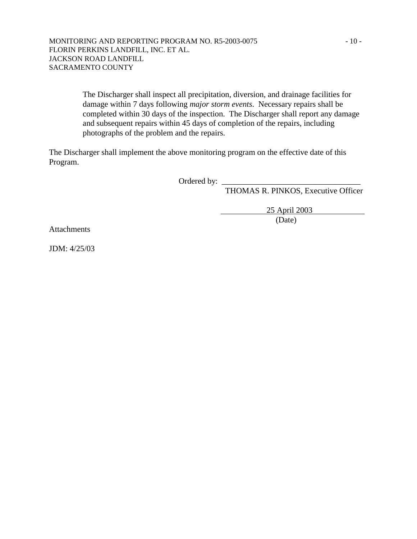### MONITORING AND REPORTING PROGRAM NO. R5-2003-0075 - 10 -FLORIN PERKINS LANDFILL, INC. ET AL. JACKSON ROAD LANDFILL SACRAMENTO COUNTY

The Discharger shall inspect all precipitation, diversion, and drainage facilities for damage within 7 days following *major storm events*. Necessary repairs shall be completed within 30 days of the inspection. The Discharger shall report any damage and subsequent repairs within 45 days of completion of the repairs, including photographs of the problem and the repairs.

The Discharger shall implement the above monitoring program on the effective date of this Program.

Ordered by: \_

THOMAS R. PINKOS, Executive Officer

 25 April 2003 (Date)

Attachments

JDM: 4/25/03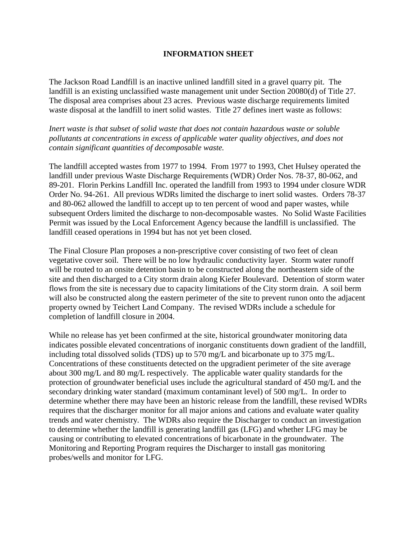### **INFORMATION SHEET**

The Jackson Road Landfill is an inactive unlined landfill sited in a gravel quarry pit. The landfill is an existing unclassified waste management unit under Section 20080(d) of Title 27. The disposal area comprises about 23 acres. Previous waste discharge requirements limited waste disposal at the landfill to inert solid wastes. Title 27 defines inert waste as follows:

*Inert waste is that subset of solid waste that does not contain hazardous waste or soluble pollutants at concentrations in excess of applicable water quality objectives, and does not contain significant quantities of decomposable waste.* 

The landfill accepted wastes from 1977 to 1994. From 1977 to 1993, Chet Hulsey operated the landfill under previous Waste Discharge Requirements (WDR) Order Nos. 78-37, 80-062, and 89-201. Florin Perkins Landfill Inc. operated the landfill from 1993 to 1994 under closure WDR Order No. 94-261. All previous WDRs limited the discharge to inert solid wastes. Orders 78-37 and 80-062 allowed the landfill to accept up to ten percent of wood and paper wastes, while subsequent Orders limited the discharge to non-decomposable wastes. No Solid Waste Facilities Permit was issued by the Local Enforcement Agency because the landfill is unclassified. The landfill ceased operations in 1994 but has not yet been closed.

The Final Closure Plan proposes a non-prescriptive cover consisting of two feet of clean vegetative cover soil. There will be no low hydraulic conductivity layer. Storm water runoff will be routed to an onsite detention basin to be constructed along the northeastern side of the site and then discharged to a City storm drain along Kiefer Boulevard. Detention of storm water flows from the site is necessary due to capacity limitations of the City storm drain. A soil berm will also be constructed along the eastern perimeter of the site to prevent runon onto the adjacent property owned by Teichert Land Company. The revised WDRs include a schedule for completion of landfill closure in 2004.

While no release has yet been confirmed at the site, historical groundwater monitoring data indicates possible elevated concentrations of inorganic constituents down gradient of the landfill, including total dissolved solids (TDS) up to 570 mg/L and bicarbonate up to 375 mg/L. Concentrations of these constituents detected on the upgradient perimeter of the site average about 300 mg/L and 80 mg/L respectively. The applicable water quality standards for the protection of groundwater beneficial uses include the agricultural standard of 450 mg/L and the secondary drinking water standard (maximum contaminant level) of 500 mg/L. In order to determine whether there may have been an historic release from the landfill, these revised WDRs requires that the discharger monitor for all major anions and cations and evaluate water quality trends and water chemistry. The WDRs also require the Discharger to conduct an investigation to determine whether the landfill is generating landfill gas (LFG) and whether LFG may be causing or contributing to elevated concentrations of bicarbonate in the groundwater. The Monitoring and Reporting Program requires the Discharger to install gas monitoring probes/wells and monitor for LFG.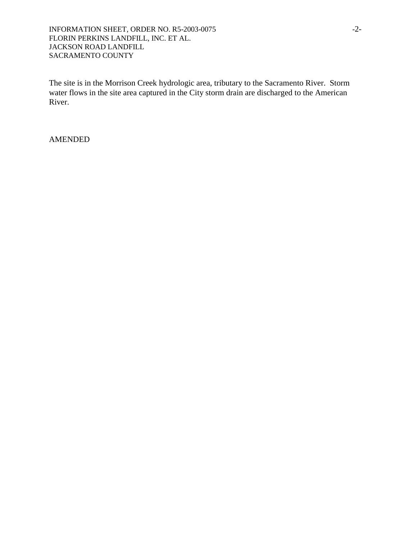### INFORMATION SHEET, ORDER NO. R5-2003-0075 -2-FLORIN PERKINS LANDFILL, INC. ET AL. JACKSON ROAD LANDFILL SACRAMENTO COUNTY

The site is in the Morrison Creek hydrologic area, tributary to the Sacramento River. Storm water flows in the site area captured in the City storm drain are discharged to the American River.

### AMENDED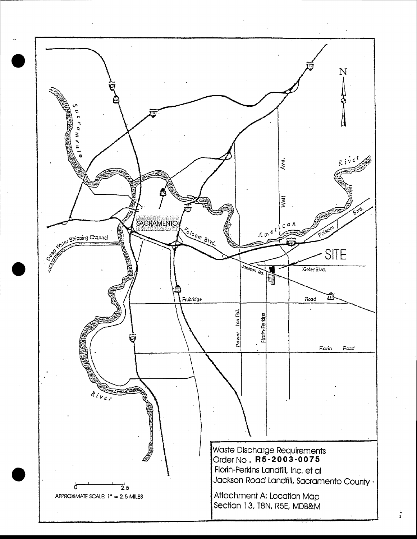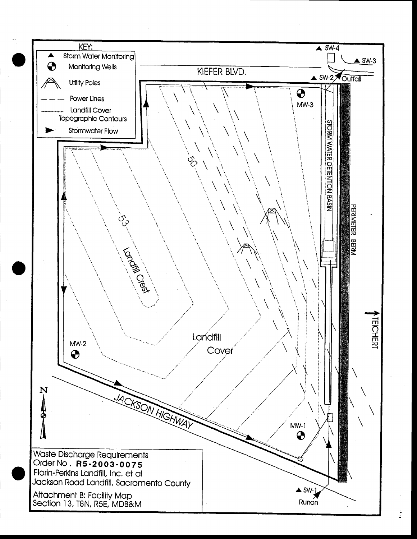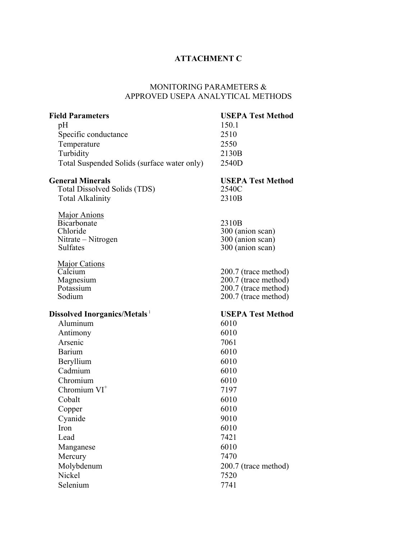### **ATTACHMENT C**

### MONITORING PARAMETERS & APPROVED USEPA ANALYTICAL METHODS

## **Field Parameters USEPA Test Method** pH 150.1 Specific conductance **2510** Temperature 2550 Turbidity 2130B Total Suspended Solids (surface water only) 2540D **General Minerals USEPA Test Method**  Total Dissolved Solids (TDS) 2540C Total Alkalinity 2310B Major Anions Bicarbonate 2310B<br>Chloride 300 (are 300 (anion scan)<br>300 (anion scan) Nitrate – Nitrogen<br>Sulfates 300 (anion scan) Major Cations Calcium 200.7 (trace method) Magnesium 200.7 (trace method)<br>Potassium 200.7 (trace method) Potassium 200.7 (trace method)<br>Sodium 200.7 (trace method)  $200.7$  (trace method) **Dissolved Inorganics/Metals** <sup>1</sup> **USEPA Test Method** Aluminum 6010 Antimony 6010 Arsenic 7061 Barium 6010 Beryllium 6010 Cadmium 6010 Chromium 6010 Chromium VI<sup>+</sup> 7197 Cobalt 6010 Copper 6010 Cyanide 9010  $Iron$  6010 Lead 7421 Manganese 6010 Mercury 7470 Molybdenum 200.7 (trace method) Nickel 7520 Selenium 7741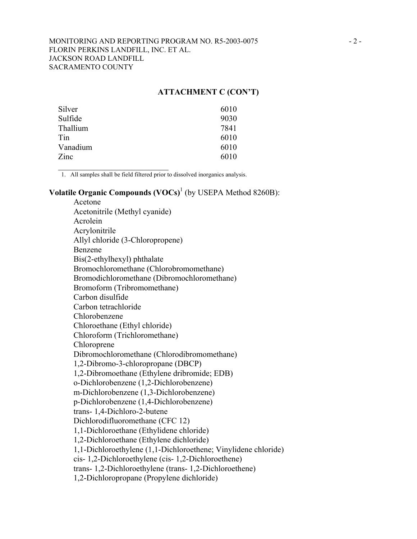### **ATTACHMENT C (CON'T)**

| Silver   | 6010 |
|----------|------|
| Sulfide  | 9030 |
| Thallium | 7841 |
| Tin      | 6010 |
| Vanadium | 6010 |
| Zinc     | 6010 |

1. All samples shall be field filtered prior to dissolved inorganics analysis.

 $\mathcal{L}_\text{max}$  , where  $\mathcal{L}_\text{max}$  and  $\mathcal{L}_\text{max}$ 

## **Volatile Organic Compounds (VOCs)**<sup>1</sup> (by USEPA Method 8260B):

Acetone Acetonitrile (Methyl cyanide) Acrolein Acrylonitrile Allyl chloride (3-Chloropropene) Benzene Bis(2-ethylhexyl) phthalate Bromochloromethane (Chlorobromomethane) Bromodichloromethane (Dibromochloromethane) Bromoform (Tribromomethane) Carbon disulfide Carbon tetrachloride Chlorobenzene Chloroethane (Ethyl chloride) Chloroform (Trichloromethane) Chloroprene Dibromochloromethane (Chlorodibromomethane) 1,2-Dibromo-3-chloropropane (DBCP) 1,2-Dibromoethane (Ethylene dribromide; EDB) o-Dichlorobenzene (1,2-Dichlorobenzene) m-Dichlorobenzene (1,3-Dichlorobenzene) p-Dichlorobenzene (1,4-Dichlorobenzene) trans- 1,4-Dichloro-2-butene Dichlorodifluoromethane (CFC 12) 1,1-Dichloroethane (Ethylidene chloride) 1,2-Dichloroethane (Ethylene dichloride) 1,1-Dichloroethylene (1,1-Dichloroethene; Vinylidene chloride) cis- 1,2-Dichloroethylene (cis- 1,2-Dichloroethene) trans- 1,2-Dichloroethylene (trans- 1,2-Dichloroethene) 1,2-Dichloropropane (Propylene dichloride)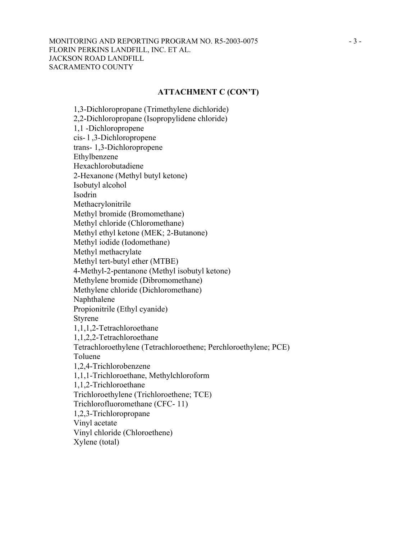### MONITORING AND REPORTING PROGRAM NO. R5-2003-0075 - 3 -FLORIN PERKINS LANDFILL, INC. ET AL. JACKSON ROAD LANDFILL SACRAMENTO COUNTY

### **ATTACHMENT C (CON'T)**

1,3-Dichloropropane (Trimethylene dichloride) 2,2-Dichloropropane (Isopropylidene chloride) 1,1 -Dichloropropene cis- l ,3-Dichloropropene trans- 1,3-Dichloropropene Ethylbenzene Hexachlorobutadiene 2-Hexanone (Methyl butyl ketone) Isobutyl alcohol Isodrin Methacrylonitrile Methyl bromide (Bromomethane) Methyl chloride (Chloromethane) Methyl ethyl ketone (MEK; 2-Butanone) Methyl iodide (Iodomethane) Methyl methacrylate Methyl tert-butyl ether (MTBE) 4-Methyl-2-pentanone (Methyl isobutyl ketone) Methylene bromide (Dibromomethane) Methylene chloride (Dichloromethane) Naphthalene Propionitrile (Ethyl cyanide) Styrene 1,1,1,2-Tetrachloroethane 1,1,2,2-Tetrachloroethane Tetrachloroethylene (Tetrachloroethene; Perchloroethylene; PCE) Toluene 1,2,4-Trichlorobenzene 1,1,1-Trichloroethane, Methylchloroform 1,1,2-Trichloroethane Trichloroethylene (Trichloroethene; TCE) Trichlorofluoromethane (CFC- 11) 1,2,3-Trichloropropane Vinyl acetate Vinyl chloride (Chloroethene) Xylene (total)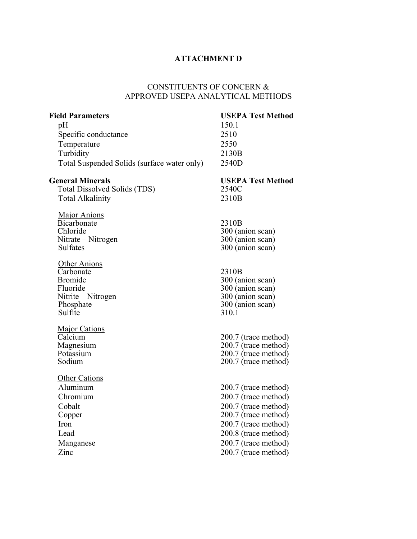## **ATTACHMENT D**

## CONSTlTUENTS OF CONCERN & APPROVED USEPA ANALYTICAL METHODS

| <b>Field Parameters</b>                     | <b>USEPA Test Method</b>             |
|---------------------------------------------|--------------------------------------|
| pH                                          | 150.1                                |
| Specific conductance                        | 2510                                 |
| Temperature                                 | 2550                                 |
| Turbidity                                   | 2130B                                |
| Total Suspended Solids (surface water only) | 2540D                                |
| <b>General Minerals</b>                     | <b>USEPA Test Method</b>             |
| <b>Total Dissolved Solids (TDS)</b>         | 2540C                                |
| <b>Total Alkalinity</b>                     | 2310B                                |
| <b>Major Anions</b>                         |                                      |
| Bicarbonate                                 | 2310B                                |
| Chloride                                    | 300 (anion scan)                     |
| Nitrate – Nitrogen<br><b>Sulfates</b>       | 300 (anion scan)<br>300 (anion scan) |
|                                             |                                      |
| <b>Other Anions</b><br>Carbonate            |                                      |
| <b>Bromide</b>                              | 2310B<br>300 (anion scan)            |
| Fluoride                                    | 300 (anion scan)                     |
| Nitrite – Nitrogen                          | 300 (anion scan)                     |
| Phosphate                                   | 300 (anion scan)                     |
| Sulfite                                     | 310.1                                |
| <b>Major Cations</b>                        |                                      |
| Calcium                                     | 200.7 (trace method)                 |
| Magnesium                                   | 200.7 (trace method)                 |
| Potassium                                   | 200.7 (trace method)                 |
| Sodium                                      | 200.7 (trace method)                 |
| <b>Other Cations</b>                        |                                      |
| Aluminum                                    | 200.7 (trace method)                 |
| Chromium                                    | 200.7 (trace method)                 |
| Cobalt                                      | 200.7 (trace method)                 |
| Copper                                      | 200.7 (trace method)                 |
| Iron                                        | 200.7 (trace method)                 |
| Lead                                        | 200.8 (trace method)                 |
| Manganese                                   | 200.7 (trace method)                 |
| Zinc                                        | 200.7 (trace method)                 |
|                                             |                                      |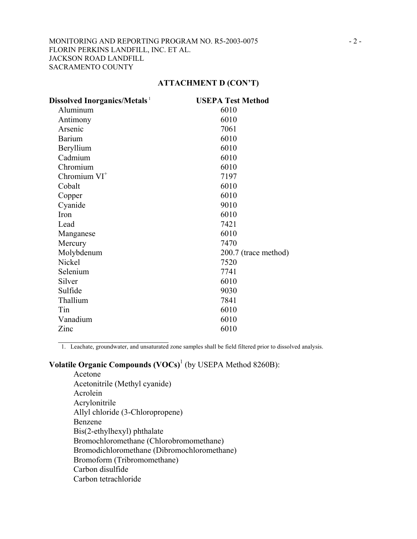### **ATTACHMENT D (CON'T)**

| <b>Dissolved Inorganics/Metals</b> 1 | <b>USEPA Test Method</b> |
|--------------------------------------|--------------------------|
| Aluminum                             | 6010                     |
| Antimony                             | 6010                     |
| Arsenic                              | 7061                     |
| <b>Barium</b>                        | 6010                     |
| Beryllium                            | 6010                     |
| Cadmium                              | 6010                     |
| Chromium                             | 6010                     |
| Chromium $VI^+$                      | 7197                     |
| Cobalt                               | 6010                     |
| Copper                               | 6010                     |
| Cyanide                              | 9010                     |
| Iron                                 | 6010                     |
| Lead                                 | 7421                     |
| Manganese                            | 6010                     |
| Mercury                              | 7470                     |
| Molybdenum                           | 200.7 (trace method)     |
| Nickel                               | 7520                     |
| Selenium                             | 7741                     |
| Silver                               | 6010                     |
| Sulfide                              | 9030                     |
| Thallium                             | 7841                     |
| Tin                                  | 6010                     |
| Vanadium                             | 6010                     |
| Zinc                                 | 6010                     |

1. Leachate, groundwater, and unsaturated zone samples shall be field filtered prior to dissolved analysis.

# **Volatile Organic Compounds (VOCs)<sup>1</sup>** (by USEPA Method 8260B):

 $\mathcal{L}_\text{max}$  , where  $\mathcal{L}_\text{max}$  and  $\mathcal{L}_\text{max}$ 

Acetone Acetonitrile (Methyl cyanide) Acrolein Acrylonitrile Allyl chloride (3-Chloropropene) Benzene Bis(2-ethylhexyl) phthalate Bromochloromethane (Chlorobromomethane) Bromodichloromethane (Dibromochloromethane) Bromoform (Tribromomethane) Carbon disulfide Carbon tetrachloride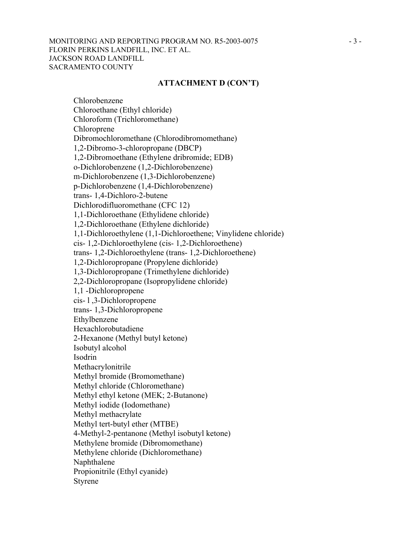### MONITORING AND REPORTING PROGRAM NO. R5-2003-0075 - 3 -FLORIN PERKINS LANDFILL, INC. ET AL. JACKSON ROAD LANDFILL SACRAMENTO COUNTY

#### **ATTACHMENT D (CON'T)**

Chlorobenzene Chloroethane (Ethyl chloride) Chloroform (Trichloromethane) Chloroprene Dibromochloromethane (Chlorodibromomethane) 1,2-Dibromo-3-chloropropane (DBCP) 1,2-Dibromoethane (Ethylene dribromide; EDB) o-Dichlorobenzene (1,2-Dichlorobenzene) m-Dichlorobenzene (1,3-Dichlorobenzene) p-Dichlorobenzene (1,4-Dichlorobenzene) trans- 1,4-Dichloro-2-butene Dichlorodifluoromethane (CFC 12) 1,1-Dichloroethane (Ethylidene chloride) 1,2-Dichloroethane (Ethylene dichloride) 1,1-Dichloroethylene (1,1-Dichloroethene; Vinylidene chloride) cis- 1,2-Dichloroethylene (cis- 1,2-Dichloroethene) trans- 1,2-Dichloroethylene (trans- 1,2-Dichloroethene) 1,2-Dichloropropane (Propylene dichloride) 1,3-Dichloropropane (Trimethylene dichloride) 2,2-Dichloropropane (Isopropylidene chloride) 1,1 -Dichloropropene cis- l ,3-Dichloropropene trans- 1,3-Dichloropropene Ethylbenzene Hexachlorobutadiene 2-Hexanone (Methyl butyl ketone) Isobutyl alcohol Isodrin Methacrylonitrile Methyl bromide (Bromomethane) Methyl chloride (Chloromethane) Methyl ethyl ketone (MEK; 2-Butanone) Methyl iodide (Iodomethane) Methyl methacrylate Methyl tert-butyl ether (MTBE) 4-Methyl-2-pentanone (Methyl isobutyl ketone) Methylene bromide (Dibromomethane) Methylene chloride (Dichloromethane) Naphthalene Propionitrile (Ethyl cyanide) Styrene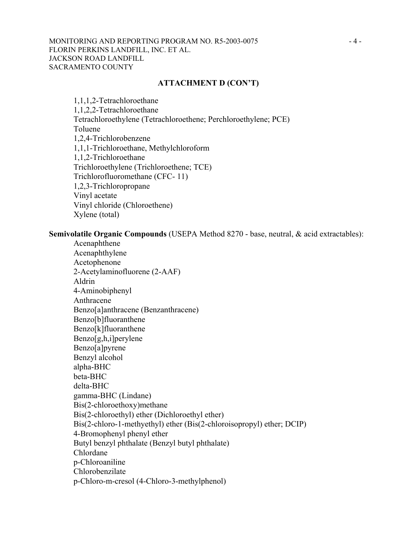### MONITORING AND REPORTING PROGRAM NO. R5-2003-0075 - 4 -FLORIN PERKINS LANDFILL, INC. ET AL. JACKSON ROAD LANDFILL SACRAMENTO COUNTY

#### **ATTACHMENT D (CON'T)**

1,1,1,2-Tetrachloroethane 1,1,2,2-Tetrachloroethane Tetrachloroethylene (Tetrachloroethene; Perchloroethylene; PCE) Toluene 1,2,4-Trichlorobenzene 1,1,1-Trichloroethane, Methylchloroform 1,1,2-Trichloroethane Trichloroethylene (Trichloroethene; TCE) Trichlorofluoromethane (CFC- 11) 1,2,3-Trichloropropane Vinyl acetate Vinyl chloride (Chloroethene) Xylene (total)

### **Semivolatile Organic Compounds** (USEPA Method 8270 - base, neutral, & acid extractables):

Acenaphthene Acenaphthylene Acetophenone 2-Acetylaminofluorene (2-AAF) Aldrin 4-Aminobiphenyl Anthracene Benzo[a]anthracene (Benzanthracene) Benzo[b]fluoranthene Benzo[k]fluoranthene Benzo[g,h,i]perylene Benzo[a]pyrene Benzyl alcohol alpha-BHC beta-BHC delta-BHC gamma-BHC (Lindane) Bis(2-chloroethoxy)methane Bis(2-chloroethyl) ether (Dichloroethyl ether) Bis(2-chloro-1-methyethyl) ether (Bis(2-chloroisopropyl) ether; DCIP) 4-Bromophenyl phenyl ether Butyl benzyl phthalate (Benzyl butyl phthalate) Chlordane p-Chloroaniline Chlorobenzilate p-Chloro-m-cresol (4-Chloro-3-methylphenol)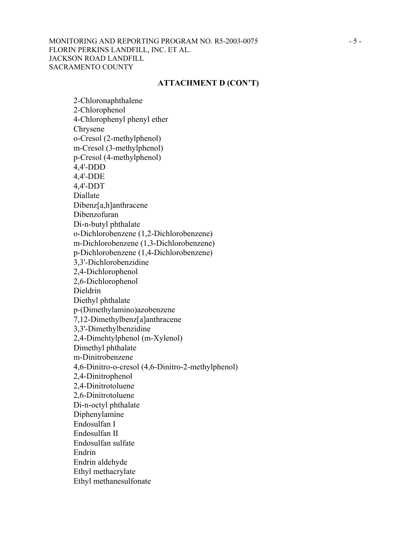### MONITORING AND REPORTING PROGRAM NO. R5-2003-0075 - 5 -FLORIN PERKINS LANDFILL, INC. ET AL. JACKSON ROAD LANDFILL SACRAMENTO COUNTY

#### **ATTACHMENT D (CON'T)**

2-Chloronaphthalene 2-Chlorophenol 4-Chlorophenyl phenyl ether Chrysene o-Cresol (2-methylphenol) m-Cresol (3-methylphenol) p-Cresol (4-methylphenol) 4,4'-DDD 4,4'-DDE 4,4'-DDT Diallate Dibenz[a,h]anthracene Dibenzofuran Di-n-butyl phthalate o-Dichlorobenzene (1,2-Dichlorobenzene) m-Dichlorobenzene (1,3-Dichlorobenzene) p-Dichlorobenzene (1,4-Dichlorobenzene) 3,3'-Dichlorobenzidine 2,4-Dichlorophenol 2,6-Dichlorophenol Dieldrin Diethyl phthalate p-(Dimethylamino)azobenzene 7,12-Dimethylbenz[a]anthracene 3,3'-Dimethylbenzidine 2,4-Dimehtylphenol (m-Xylenol) Dimethyl phthalate m-Dinitrobenzene 4,6-Dinitro-o-cresol (4,6-Dinitro-2-methylphenol) 2,4-Dinitrophenol 2,4-Dinitrotoluene 2,6-Dinitrotoluene Di-n-octyl phthalate Diphenylamine Endosulfan I Endosulfan II Endosulfan sulfate Endrin Endrin aldehyde Ethyl methacrylate Ethyl methanesulfonate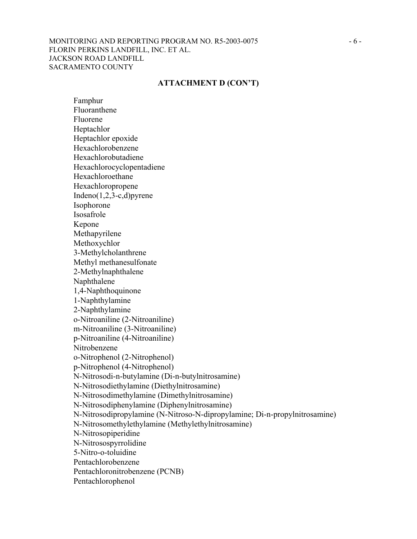### MONITORING AND REPORTING PROGRAM NO. R5-2003-0075 - 6 -FLORIN PERKINS LANDFILL, INC. ET AL. JACKSON ROAD LANDFILL SACRAMENTO COUNTY

#### **ATTACHMENT D (CON'T)**

Famphur Fluoranthene Fluorene Heptachlor Heptachlor epoxide Hexachlorobenzene Hexachlorobutadiene Hexachlorocyclopentadiene Hexachloroethane Hexachloropropene Indeno(1,2,3-c,d)pyrene Isophorone Isosafrole Kepone Methapyrilene Methoxychlor 3-Methylcholanthrene Methyl methanesulfonate 2-Methylnaphthalene Naphthalene 1,4-Naphthoquinone 1-Naphthylamine 2-Naphthylamine o-Nitroaniline (2-Nitroaniline) m-Nitroaniline (3-Nitroaniline) p-Nitroaniline (4-Nitroaniline) Nitrobenzene o-Nitrophenol (2-Nitrophenol) p-Nitrophenol (4-Nitrophenol) N-Nitrosodi-n-butylamine (Di-n-butylnitrosamine) N-Nitrosodiethylamine (Diethylnitrosamine) N-Nitrosodimethylamine (Dimethylnitrosamine) N-Nitrosodiphenylamine (Diphenylnitrosamine) N-Nitrosodipropylamine (N-Nitroso-N-dipropylamine; Di-n-propylnitrosamine) N-Nitrosomethylethylamine (Methylethylnitrosamine) N-Nitrosopiperidine N-Nitrosospyrrolidine 5-Nitro-o-toluidine Pentachlorobenzene Pentachloronitrobenzene (PCNB) Pentachlorophenol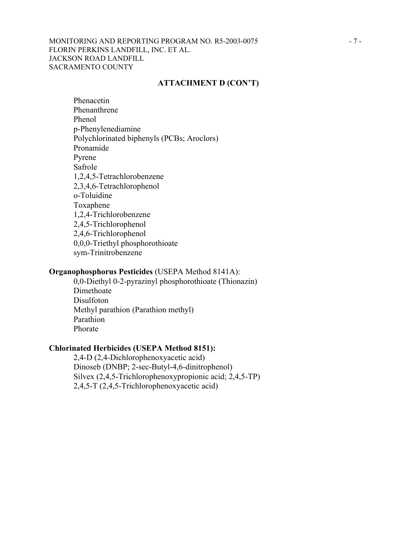### MONITORING AND REPORTING PROGRAM NO. R5-2003-0075 - 7 -FLORIN PERKINS LANDFILL, INC. ET AL. JACKSON ROAD LANDFILL SACRAMENTO COUNTY

### **ATTACHMENT D (CON'T)**

Phenacetin Phenanthrene Phenol p-Phenylenediamine Polychlorinated biphenyls (PCBs; Aroclors) Pronamide Pyrene Safrole 1,2,4,5-Tetrachlorobenzene 2,3,4,6-Tetrachlorophenol o-Toluidine Toxaphene 1,2,4-Trichlorobenzene 2,4,5-Trichlorophenol 2,4,6-Trichlorophenol 0,0,0-Triethyl phosphorothioate sym-Trinitrobenzene

#### **Organophosphorus Pesticides** (USEPA Method 8141A):

0,0-Diethyl 0-2-pyrazinyl phosphorothioate (Thionazin) Dimethoate Disulfoton Methyl parathion (Parathion methyl) Parathion Phorate

## **Chlorinated Herbicides (USEPA Method 8151):**

2,4-D (2,4-Dichlorophenoxyacetic acid) Dinoseb (DNBP; 2-sec-Butyl-4,6-dinitrophenol) Silvex (2,4,5-Trichlorophenoxypropionic acid; 2,4,5-TP) 2,4,5-T (2,4,5-Trichlorophenoxyacetic acid)